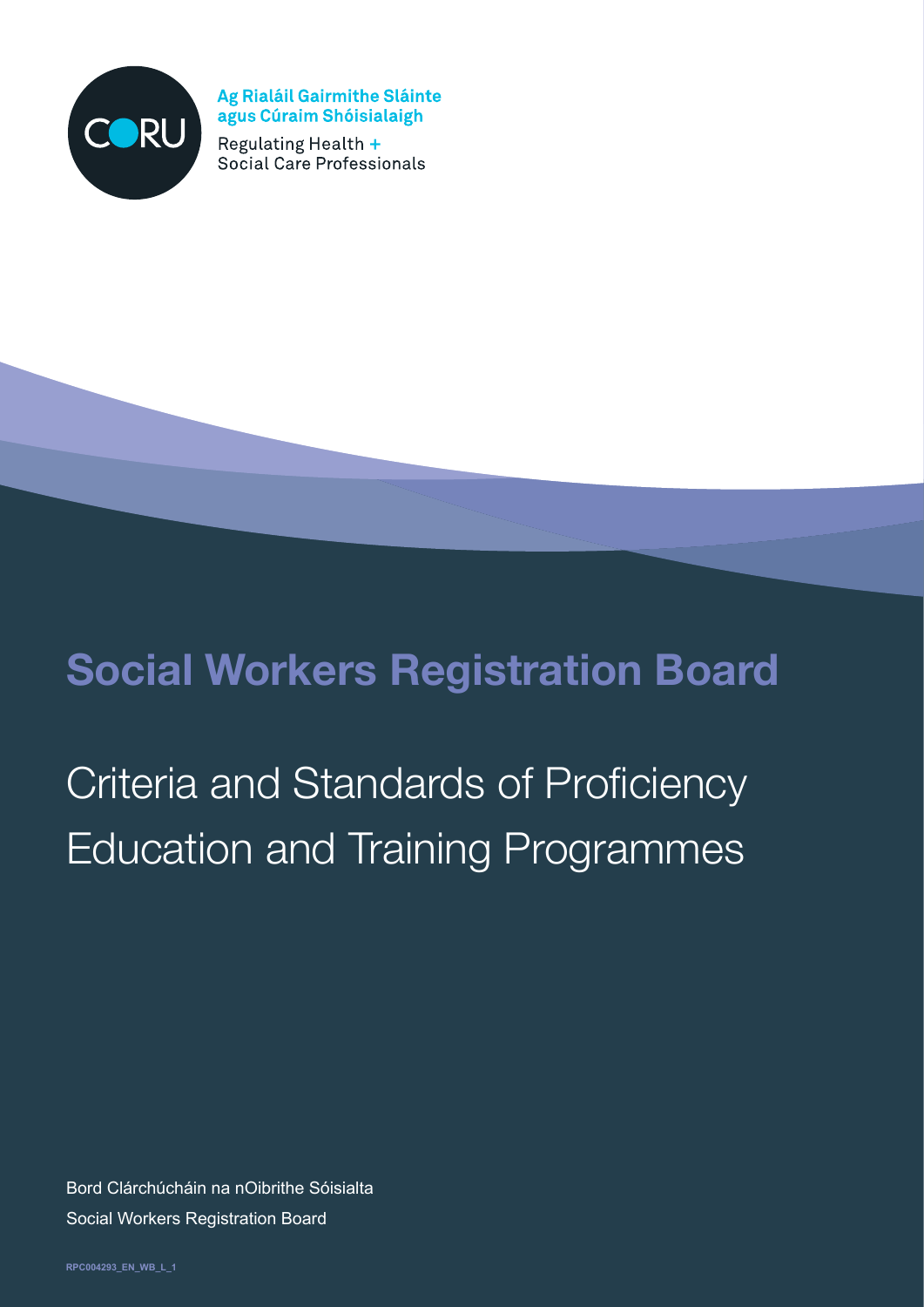

Ag Rialáil Gairmithe Sláinte agus Cúraim Shóisialaigh

Regulating Health + Social Care Professionals

# **Social Workers Registration Board**

# Criteria and Standards of Proficiency Education and Training Programmes

Bord Clárchúcháin na nOibrithe Sóisialta Social Workers Registration Board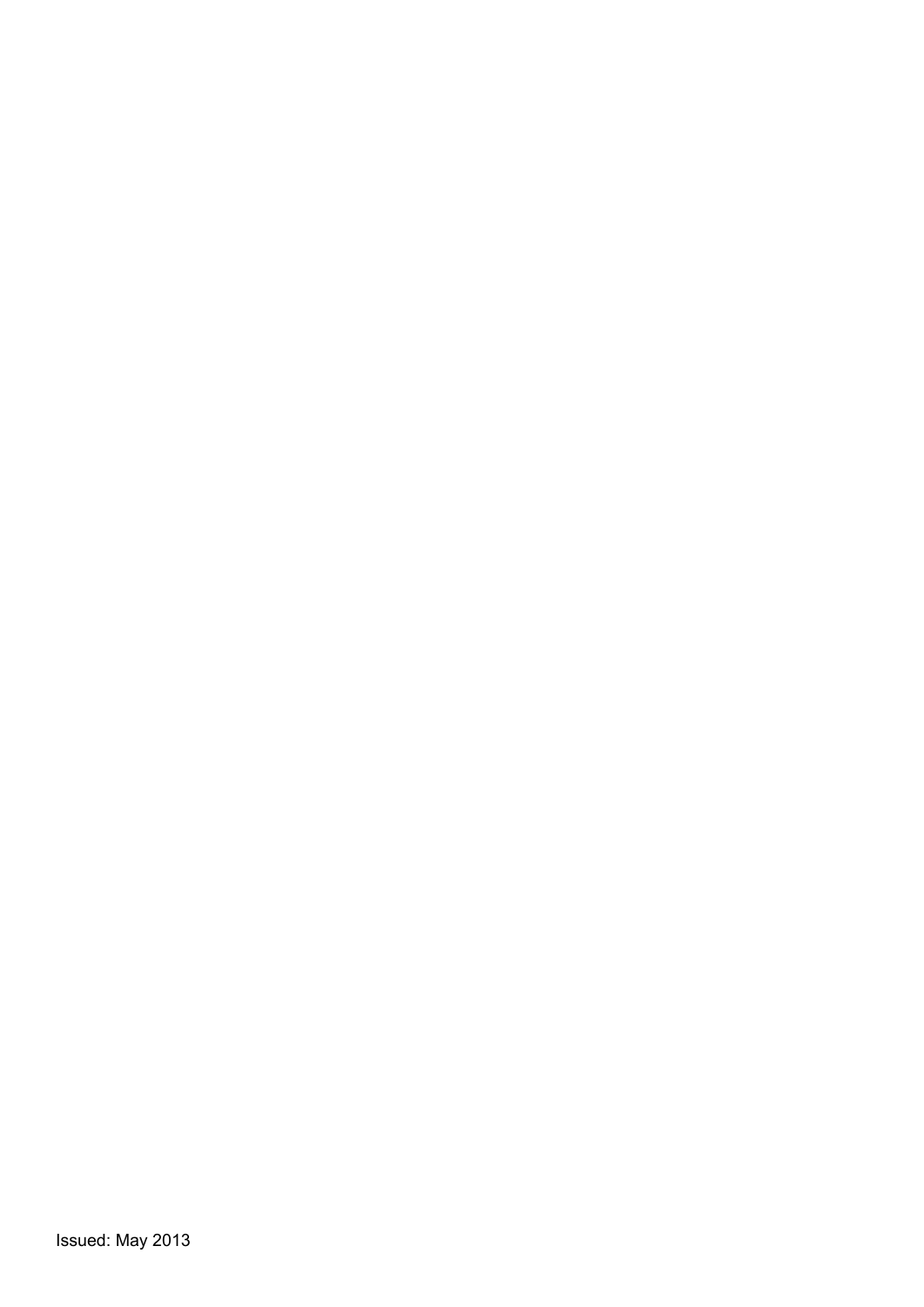Issued: May 2013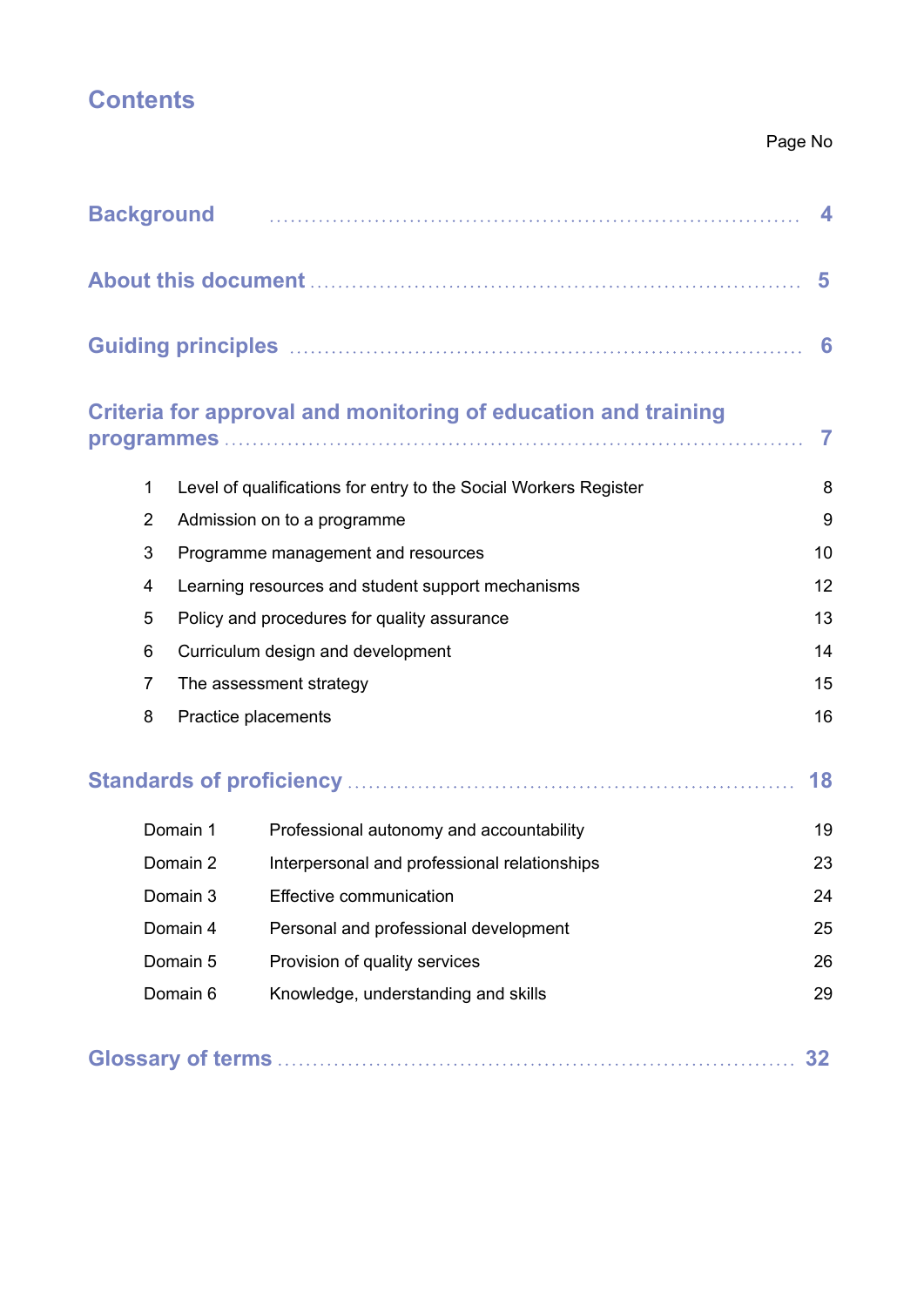# **Contents**

#### Page No

| <b>Background</b> |                                                         |                                                                  |                |  |  |
|-------------------|---------------------------------------------------------|------------------------------------------------------------------|----------------|--|--|
|                   |                                                         |                                                                  |                |  |  |
|                   |                                                         |                                                                  |                |  |  |
|                   |                                                         | Criteria for approval and monitoring of education and training   | $\overline{7}$ |  |  |
| $\mathbf{1}$      |                                                         | Level of qualifications for entry to the Social Workers Register | 8              |  |  |
| $\overline{2}$    | 9<br>Admission on to a programme                        |                                                                  |                |  |  |
| 3                 | 10<br>Programme management and resources                |                                                                  |                |  |  |
| 4                 | 12<br>Learning resources and student support mechanisms |                                                                  |                |  |  |
| 5                 | 13<br>Policy and procedures for quality assurance       |                                                                  |                |  |  |
| 6                 | 14<br>Curriculum design and development                 |                                                                  |                |  |  |
| $\overline{7}$    | 15<br>The assessment strategy                           |                                                                  |                |  |  |
| 8                 | Practice placements                                     |                                                                  |                |  |  |
|                   |                                                         |                                                                  | 18             |  |  |
|                   | Domain 1                                                | Professional autonomy and accountability                         | 19             |  |  |
|                   | Domain 2                                                | Interpersonal and professional relationships                     | 23             |  |  |
| Domain 3          |                                                         | Effective communication                                          | 24             |  |  |
| Domain 4          |                                                         | Personal and professional development                            | 25             |  |  |
|                   | Domain 5                                                | Provision of quality services                                    | 26             |  |  |
| Domain 6          |                                                         | Knowledge, understanding and skills                              | 29             |  |  |
|                   |                                                         |                                                                  | 32             |  |  |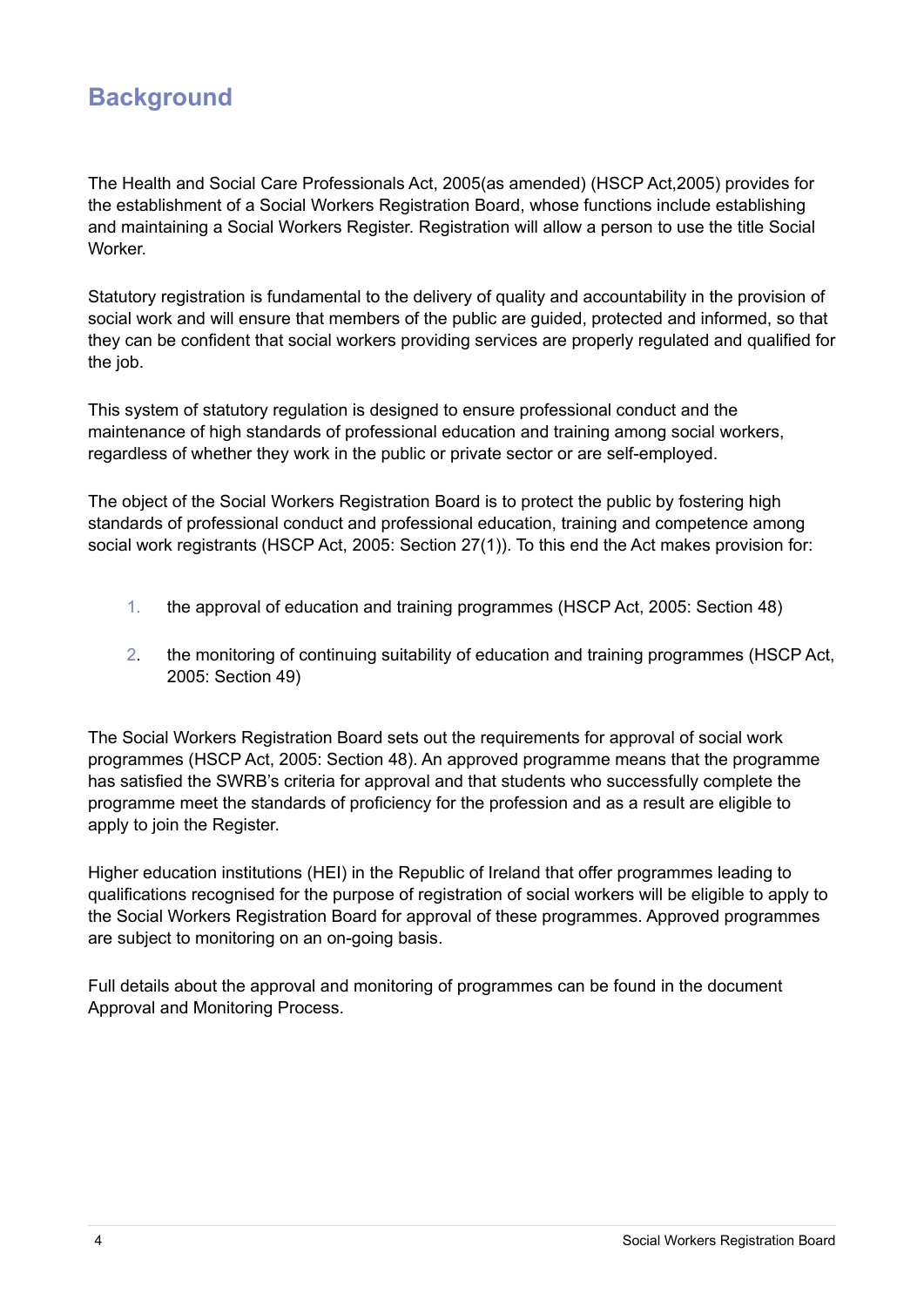# **Background**

The Health and Social Care Professionals Act, 2005(as amended) (HSCP Act,2005) provides for the establishment of a Social Workers Registration Board, whose functions include establishing and maintaining a Social Workers Register. Registration will allow a person to use the title Social Worker.

Statutory registration is fundamental to the delivery of quality and accountability in the provision of social work and will ensure that members of the public are guided, protected and informed, so that they can be confident that social workers providing services are properly regulated and qualified for the job.

This system of statutory regulation is designed to ensure professional conduct and the maintenance of high standards of professional education and training among social workers, regardless of whether they work in the public or private sector or are self-employed.

The object of the Social Workers Registration Board is to protect the public by fostering high standards of professional conduct and professional education, training and competence among social work registrants (HSCP Act, 2005: Section 27(1)). To this end the Act makes provision for:

- 1. the approval of education and training programmes (HSCP Act, 2005: Section 48)
- 2. the monitoring of continuing suitability of education and training programmes (HSCP Act, 2005: Section 49)

The Social Workers Registration Board sets out the requirements for approval of social work programmes (HSCP Act, 2005: Section 48). An approved programme means that the programme has satisfied the SWRB's criteria for approval and that students who successfully complete the programme meet the standards of proficiency for the profession and as a result are eligible to apply to join the Register.

Higher education institutions (HEI) in the Republic of Ireland that offer programmes leading to qualifications recognised for the purpose of registration of social workers will be eligible to apply to the Social Workers Registration Board for approval of these programmes. Approved programmes are subject to monitoring on an on-going basis.

Full details about the approval and monitoring of programmes can be found in the document Approval and Monitoring Process.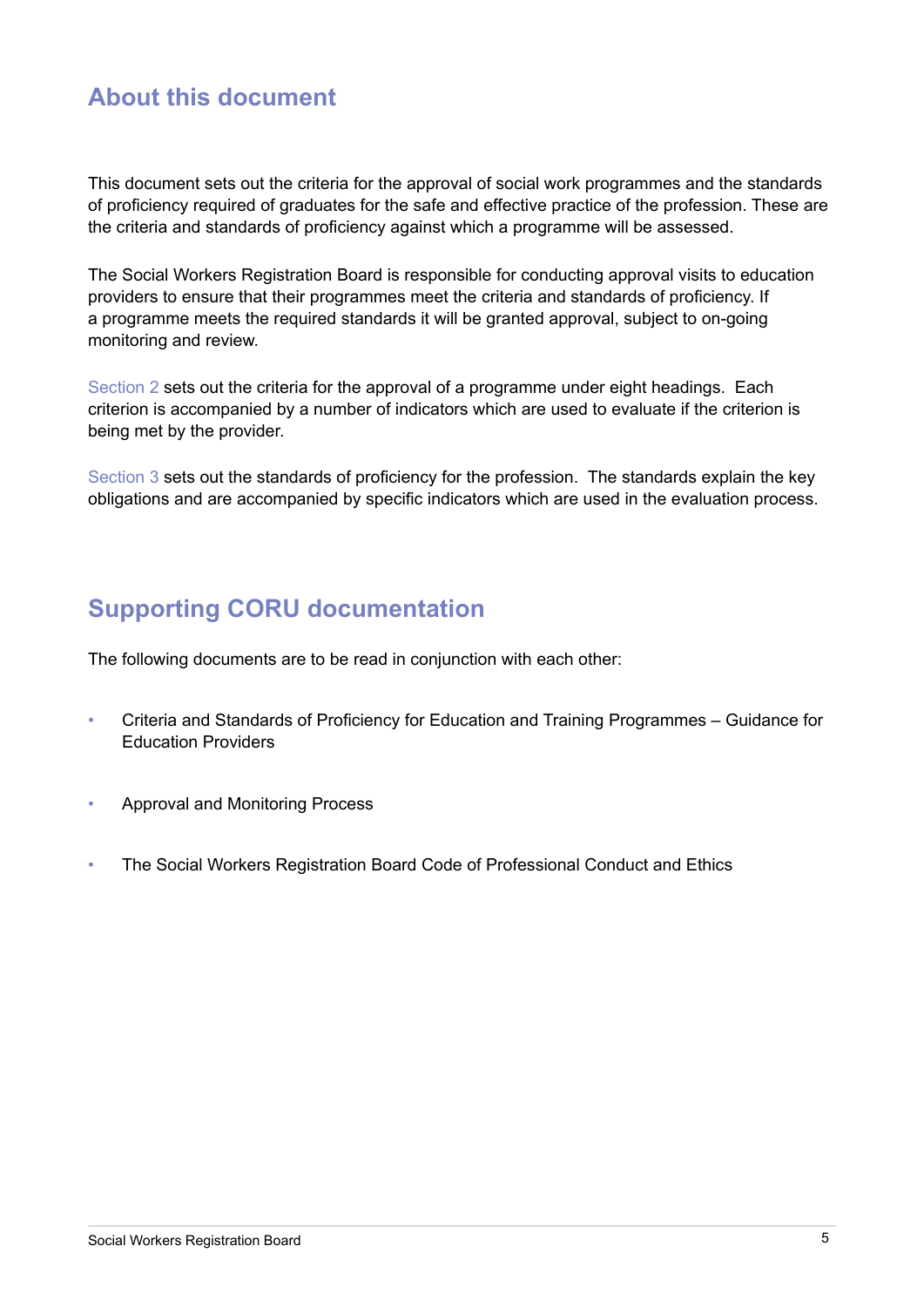### **About this document**

This document sets out the criteria for the approval of social work programmes and the standards of proficiency required of graduates for the safe and effective practice of the profession. These are the criteria and standards of proficiency against which a programme will be assessed.

The Social Workers Registration Board is responsible for conducting approval visits to education providers to ensure that their programmes meet the criteria and standards of proficiency. If a programme meets the required standards it will be granted approval, subject to on-going monitoring and review.

Section 2 sets out the criteria for the approval of a programme under eight headings. Each criterion is accompanied by a number of indicators which are used to evaluate if the criterion is being met by the provider.

Section 3 sets out the standards of proficiency for the profession. The standards explain the key obligations and are accompanied by specific indicators which are used in the evaluation process.

### **Supporting CORU documentation**

The following documents are to be read in conjunction with each other:

- Criteria and Standards of Proficiency for Education and Training Programmes Guidance for Education Providers
- Approval and Monitoring Process
- The Social Workers Registration Board Code of Professional Conduct and Ethics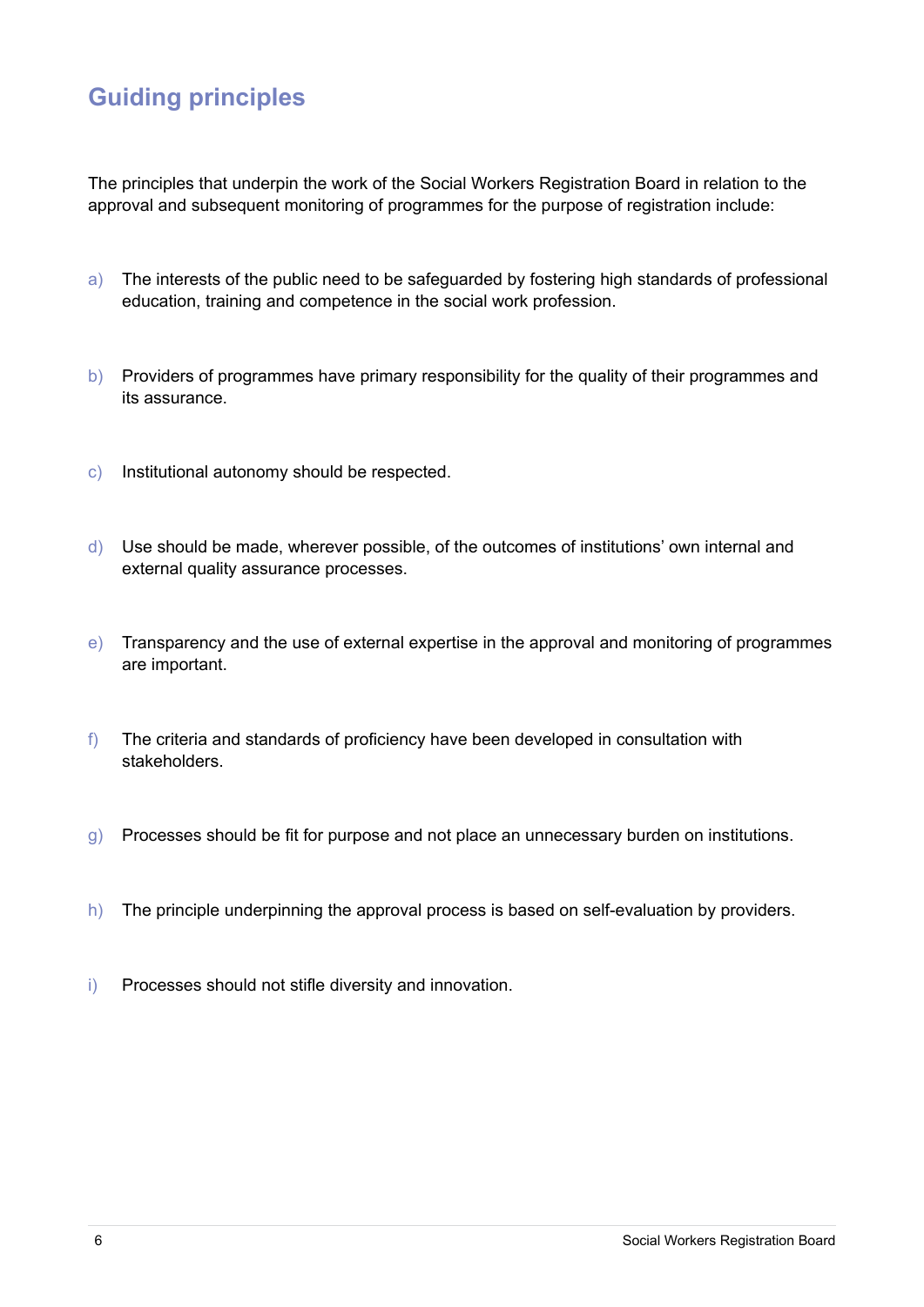# **Guiding principles**

The principles that underpin the work of the Social Workers Registration Board in relation to the approval and subsequent monitoring of programmes for the purpose of registration include:

- a) The interests of the public need to be safeguarded by fostering high standards of professional education, training and competence in the social work profession.
- b) Providers of programmes have primary responsibility for the quality of their programmes and its assurance.
- c) Institutional autonomy should be respected.
- d) Use should be made, wherever possible, of the outcomes of institutions' own internal and external quality assurance processes.
- e) Transparency and the use of external expertise in the approval and monitoring of programmes are important.
- f) The criteria and standards of proficiency have been developed in consultation with stakeholders.
- g) Processes should be fit for purpose and not place an unnecessary burden on institutions.
- h) The principle underpinning the approval process is based on self-evaluation by providers.
- i) Processes should not stifle diversity and innovation.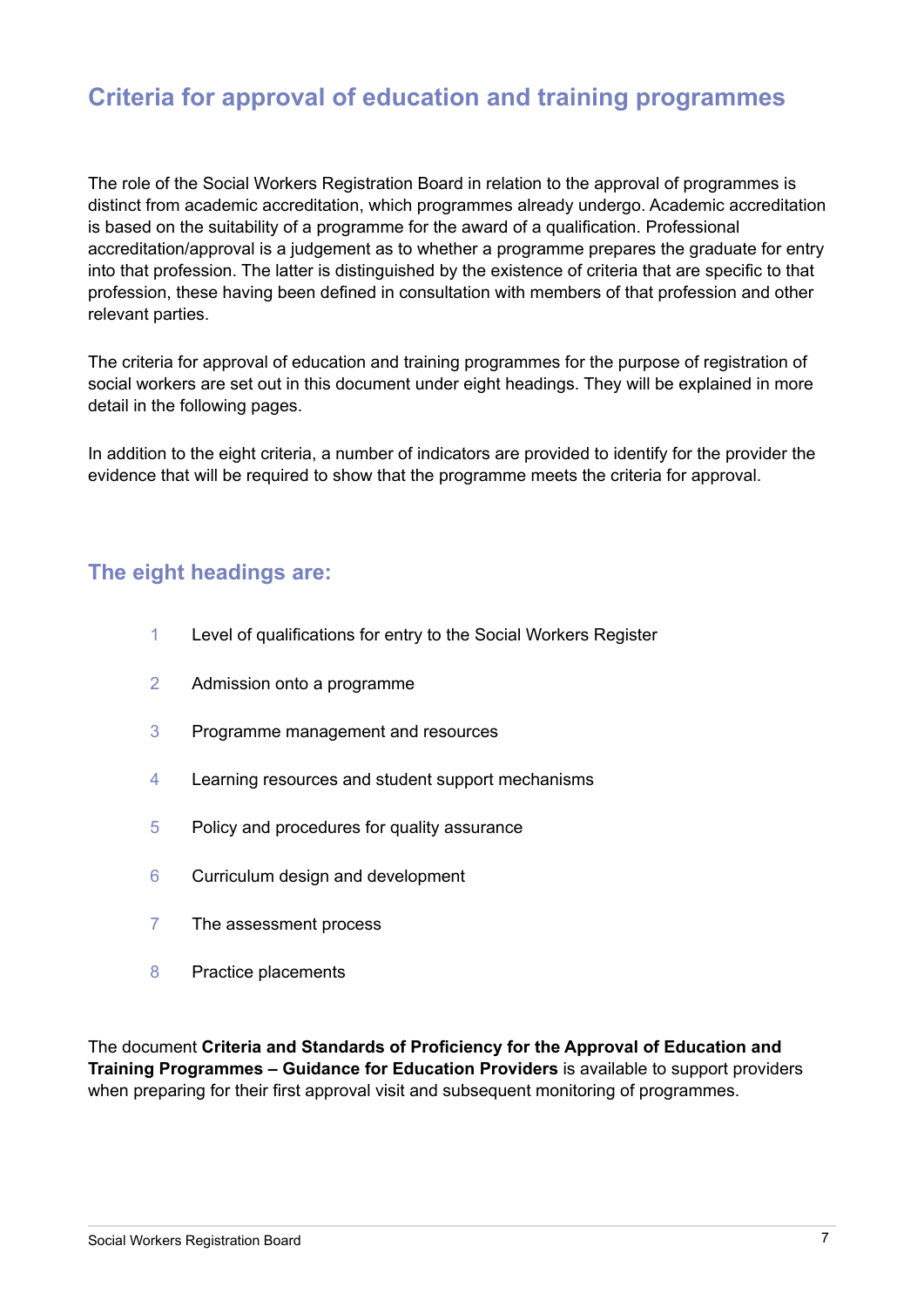### **Criteria for approval of education and training programmes**

The role of the Social Workers Registration Board in relation to the approval of programmes is distinct from academic accreditation, which programmes already undergo. Academic accreditation is based on the suitability of a programme for the award of a qualification. Professional accreditation/approval is a judgement as to whether a programme prepares the graduate for entry into that profession. The latter is distinguished by the existence of criteria that are specific to that profession, these having been defined in consultation with members of that profession and other relevant parties.

The criteria for approval of education and training programmes for the purpose of registration of social workers are set out in this document under eight headings. They will be explained in more detail in the following pages.

In addition to the eight criteria, a number of indicators are provided to identify for the provider the evidence that will be required to show that the programme meets the criteria for approval.

#### **The eight headings are:**

- 1 Level of qualifications for entry to the Social Workers Register
- 2 Admission onto a programme
- 3 Programme management and resources
- 4 Learning resources and student support mechanisms
- 5 Policy and procedures for quality assurance
- 6 Curriculum design and development
- 7 The assessment process
- 8 Practice placements

The document **Criteria and Standards of Proficiency for the Approval of Education and Training Programmes – Guidance for Education Providers** is available to support providers when preparing for their first approval visit and subsequent monitoring of programmes.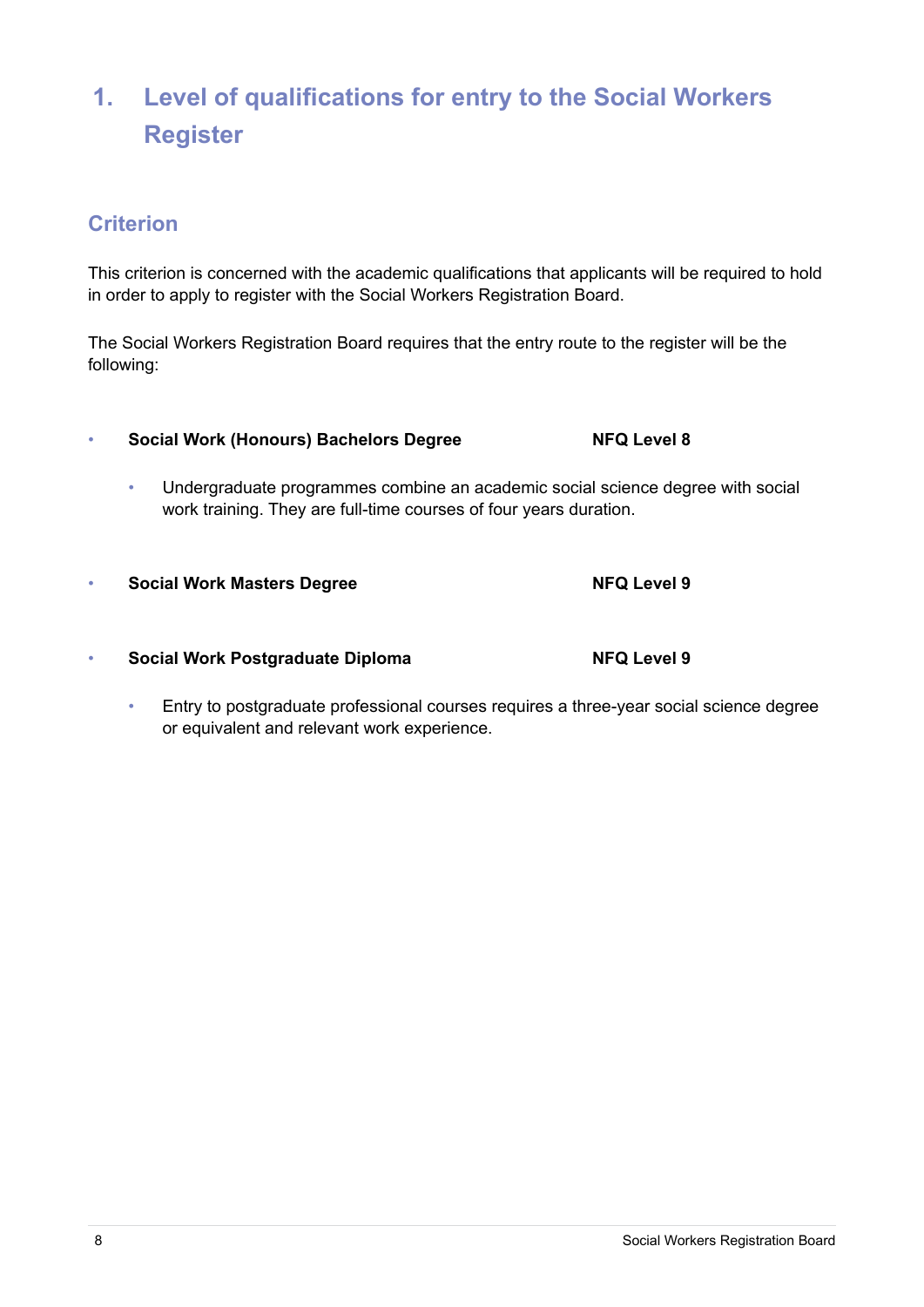# **1. Level of qualifications for entry to the Social Workers Register**

### **Criterion**

This criterion is concerned with the academic qualifications that applicants will be required to hold in order to apply to register with the Social Workers Registration Board.

The Social Workers Registration Board requires that the entry route to the register will be the following:

- **Social Work (Honours) Bachelors Degree NFQ Level 8** 
	- Undergraduate programmes combine an academic social science degree with social work training. They are full-time courses of four years duration.
- **Social Work Masters Degree NFQ Level 9**
- **Social Work Postgraduate Diploma NFQ Level 9**
	- Entry to postgraduate professional courses requires a three-year social science degree or equivalent and relevant work experience.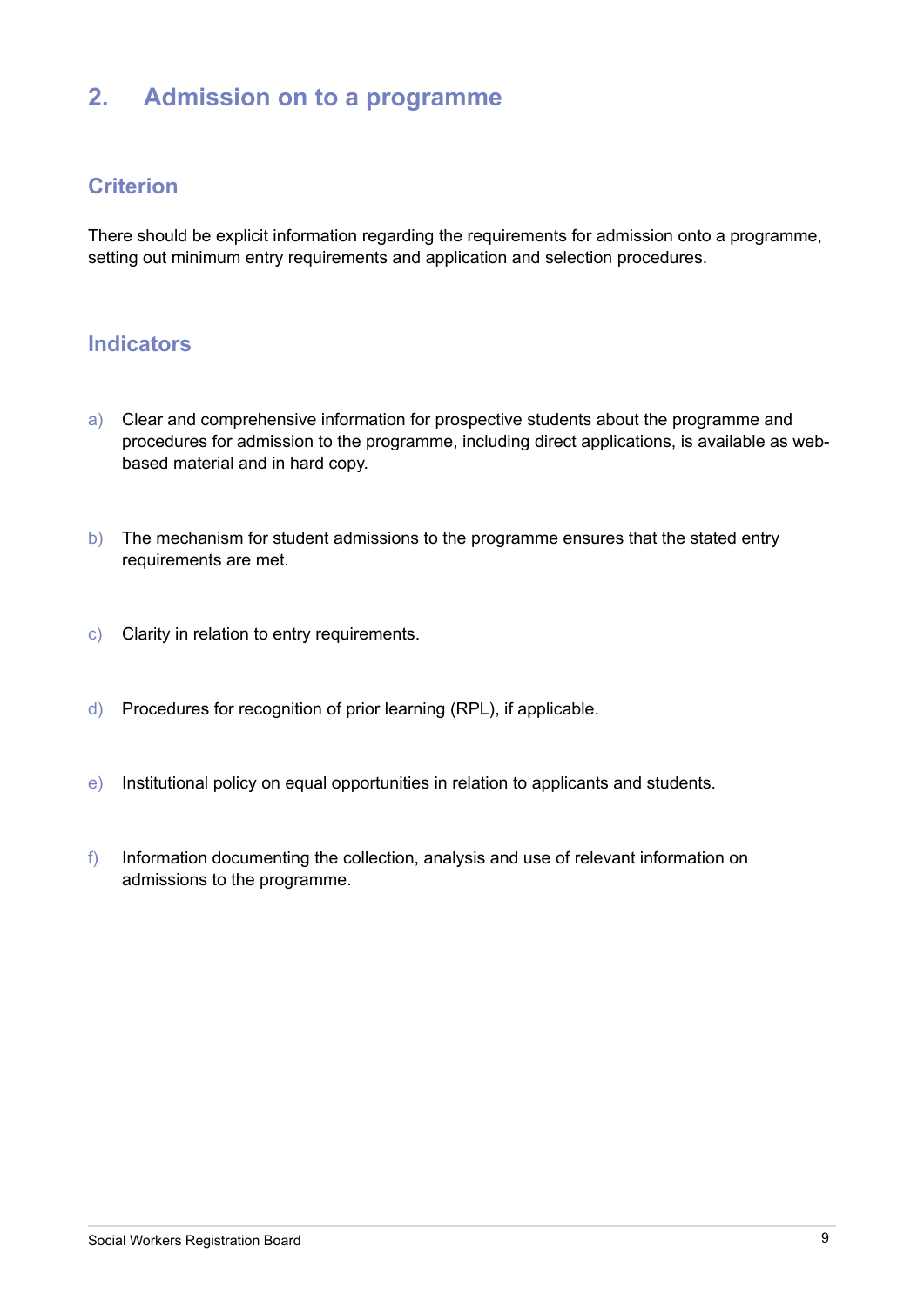# **2. Admission on to a programme**

#### **Criterion**

There should be explicit information regarding the requirements for admission onto a programme, setting out minimum entry requirements and application and selection procedures.

- a) Clear and comprehensive information for prospective students about the programme and procedures for admission to the programme, including direct applications, is available as webbased material and in hard copy.
- b) The mechanism for student admissions to the programme ensures that the stated entry requirements are met.
- c) Clarity in relation to entry requirements.
- d) Procedures for recognition of prior learning (RPL), if applicable.
- e) Institutional policy on equal opportunities in relation to applicants and students.
- f) Information documenting the collection, analysis and use of relevant information on admissions to the programme.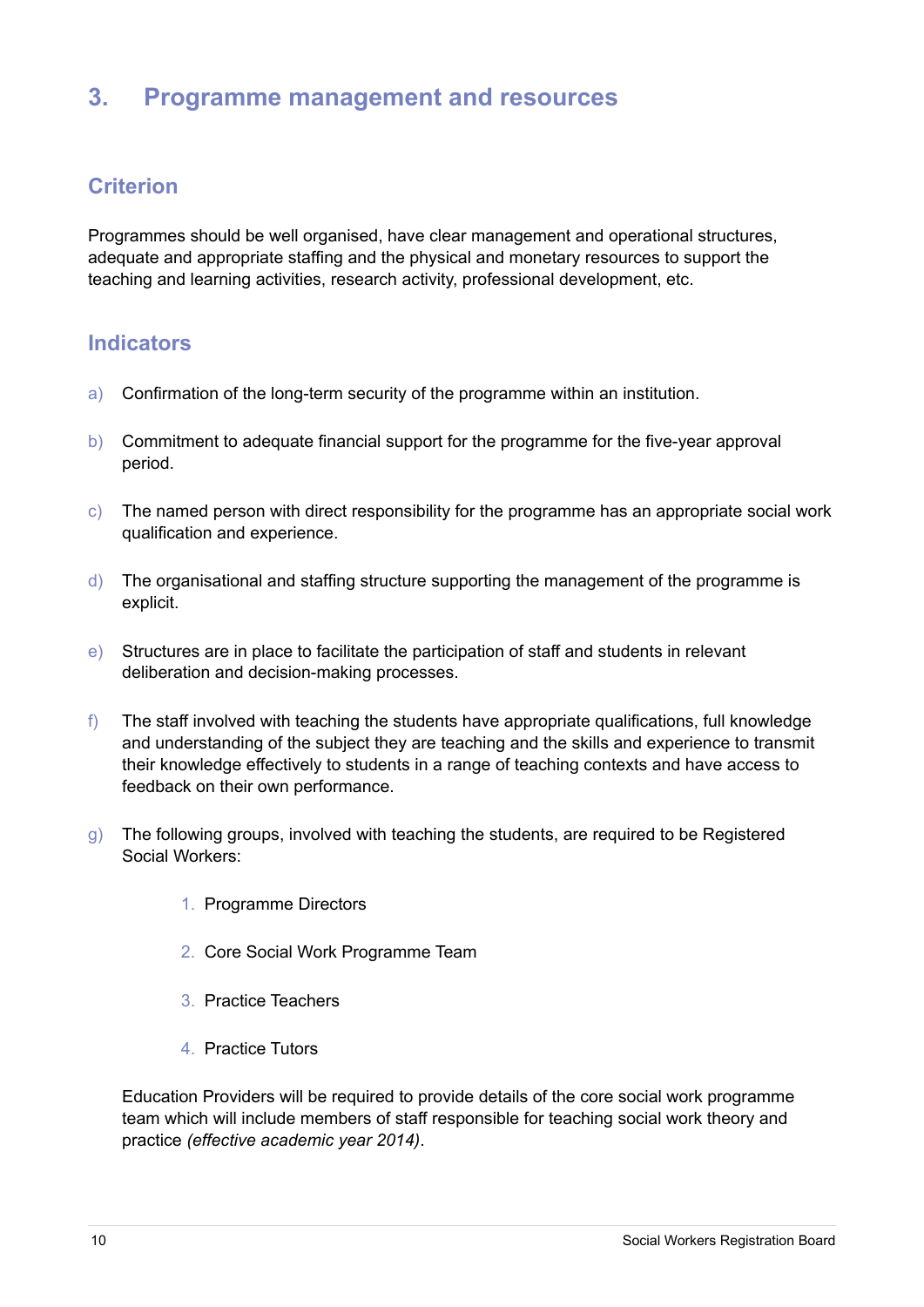### **3. Programme management and resources**

#### **Criterion**

Programmes should be well organised, have clear management and operational structures, adequate and appropriate staffing and the physical and monetary resources to support the teaching and learning activities, research activity, professional development, etc.

### **Indicators**

- a) Confirmation of the long-term security of the programme within an institution.
- b) Commitment to adequate financial support for the programme for the five-year approval period.
- $\epsilon$ ) The named person with direct responsibility for the programme has an appropriate social work qualification and experience.
- $\mathbf d$ ) The organisational and staffing structure supporting the management of the programme is explicit.
- e) Structures are in place to facilitate the participation of staff and students in relevant deliberation and decision-making processes.
- $f$ ) The staff involved with teaching the students have appropriate qualifications, full knowledge and understanding of the subject they are teaching and the skills and experience to transmit their knowledge effectively to students in a range of teaching contexts and have access to feedback on their own performance.
- g) The following groups, involved with teaching the students, are required to be Registered Social Workers:
	- 1. Programme Directors
	- 2. Core Social Work Programme Team
	- 3. Practice Teachers
	- 4. Practice Tutors

Education Providers will be required to provide details of the core social work programme team which will include members of staff responsible for teaching social work theory and practice *(effective academic year 2014)*.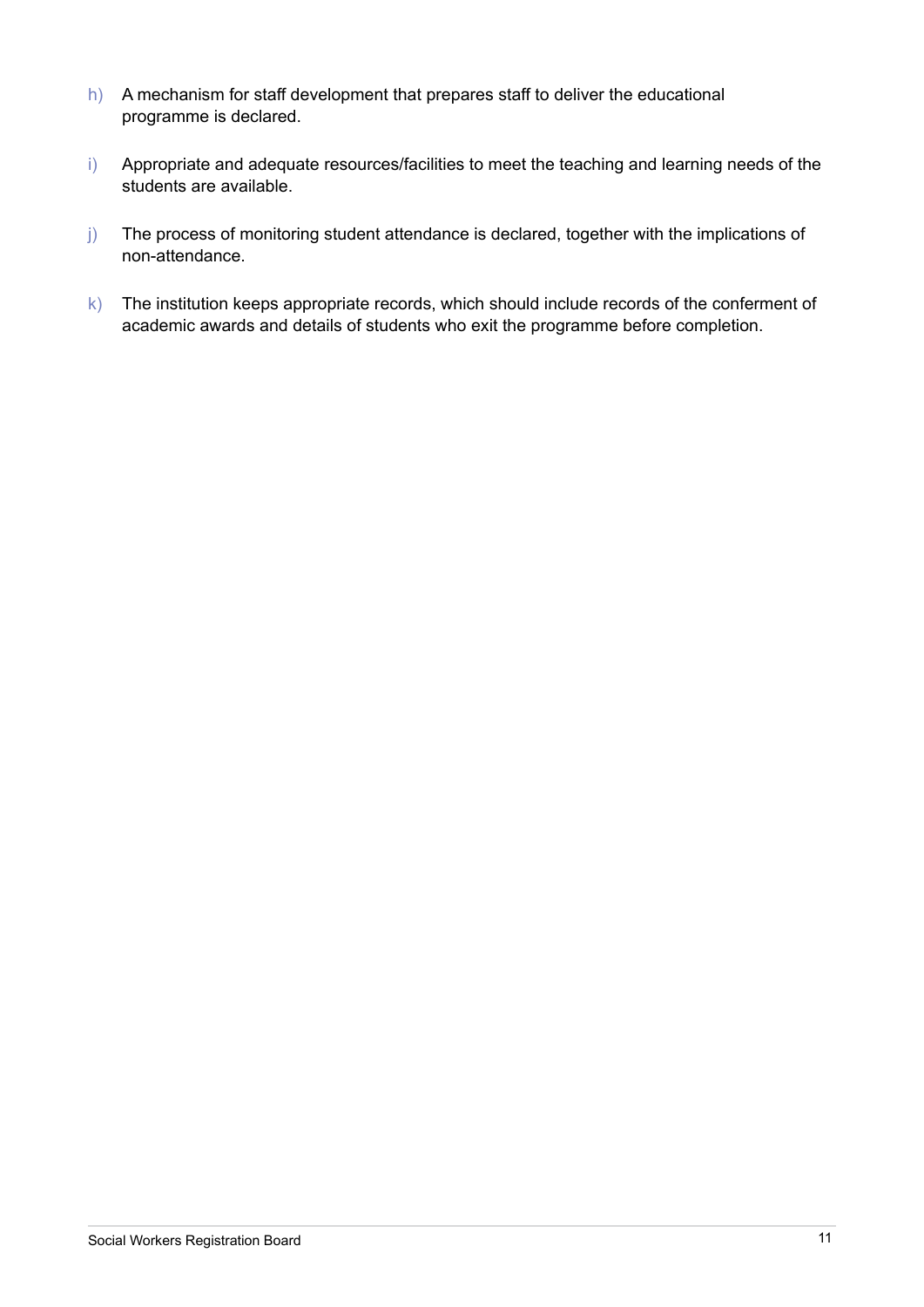- h) A mechanism for staff development that prepares staff to deliver the educational programme is declared.
- i) Appropriate and adequate resources/facilities to meet the teaching and learning needs of the students are available.
- j) The process of monitoring student attendance is declared, together with the implications of non-attendance.
- k) The institution keeps appropriate records, which should include records of the conferment of academic awards and details of students who exit the programme before completion.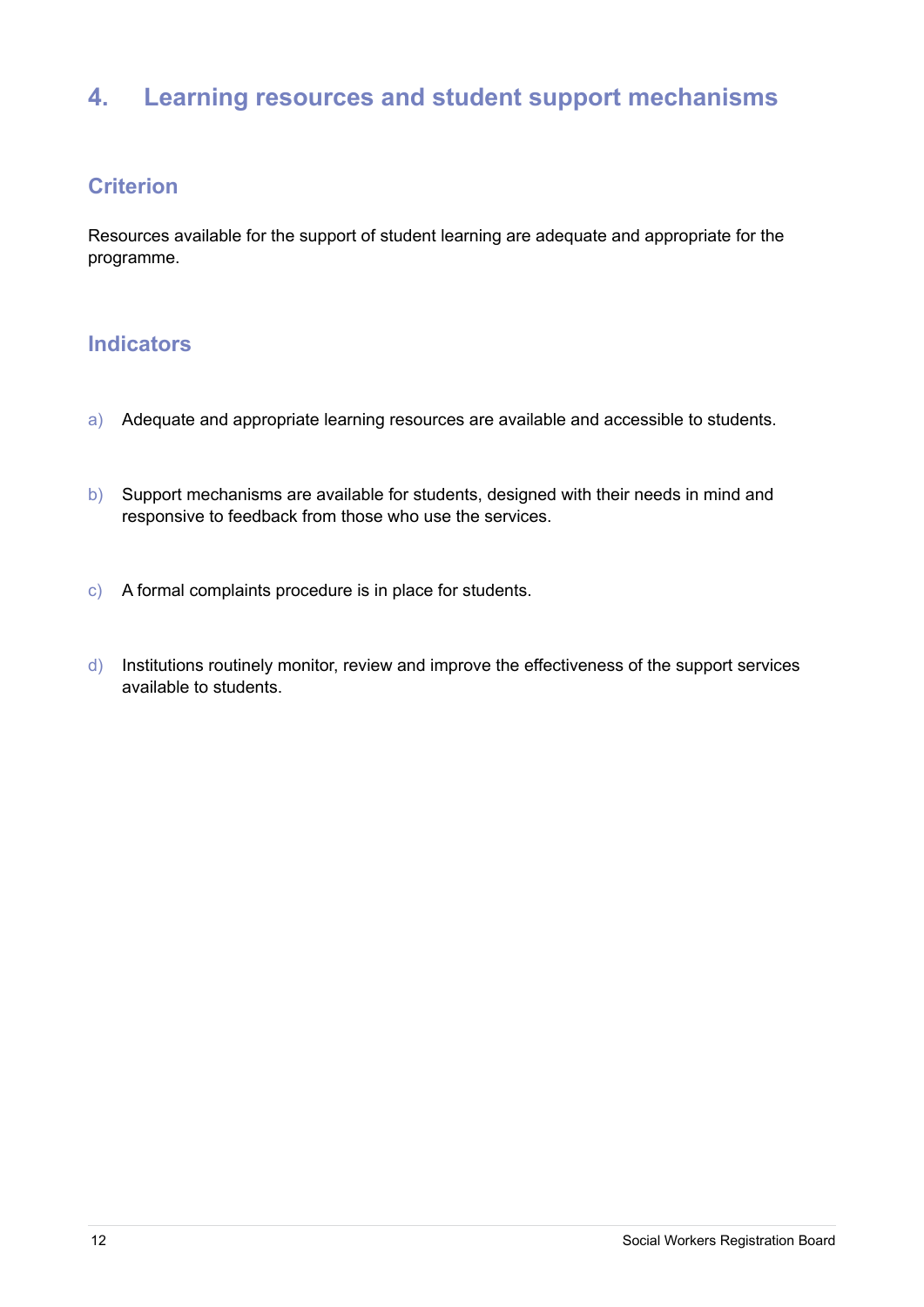# **4. Learning resources and student support mechanisms**

#### **Criterion**

Resources available for the support of student learning are adequate and appropriate for the programme.

- a) Adequate and appropriate learning resources are available and accessible to students.
- b) Support mechanisms are available for students, designed with their needs in mind and responsive to feedback from those who use the services.
- c) A formal complaints procedure is in place for students.
- d) Institutions routinely monitor, review and improve the effectiveness of the support services available to students.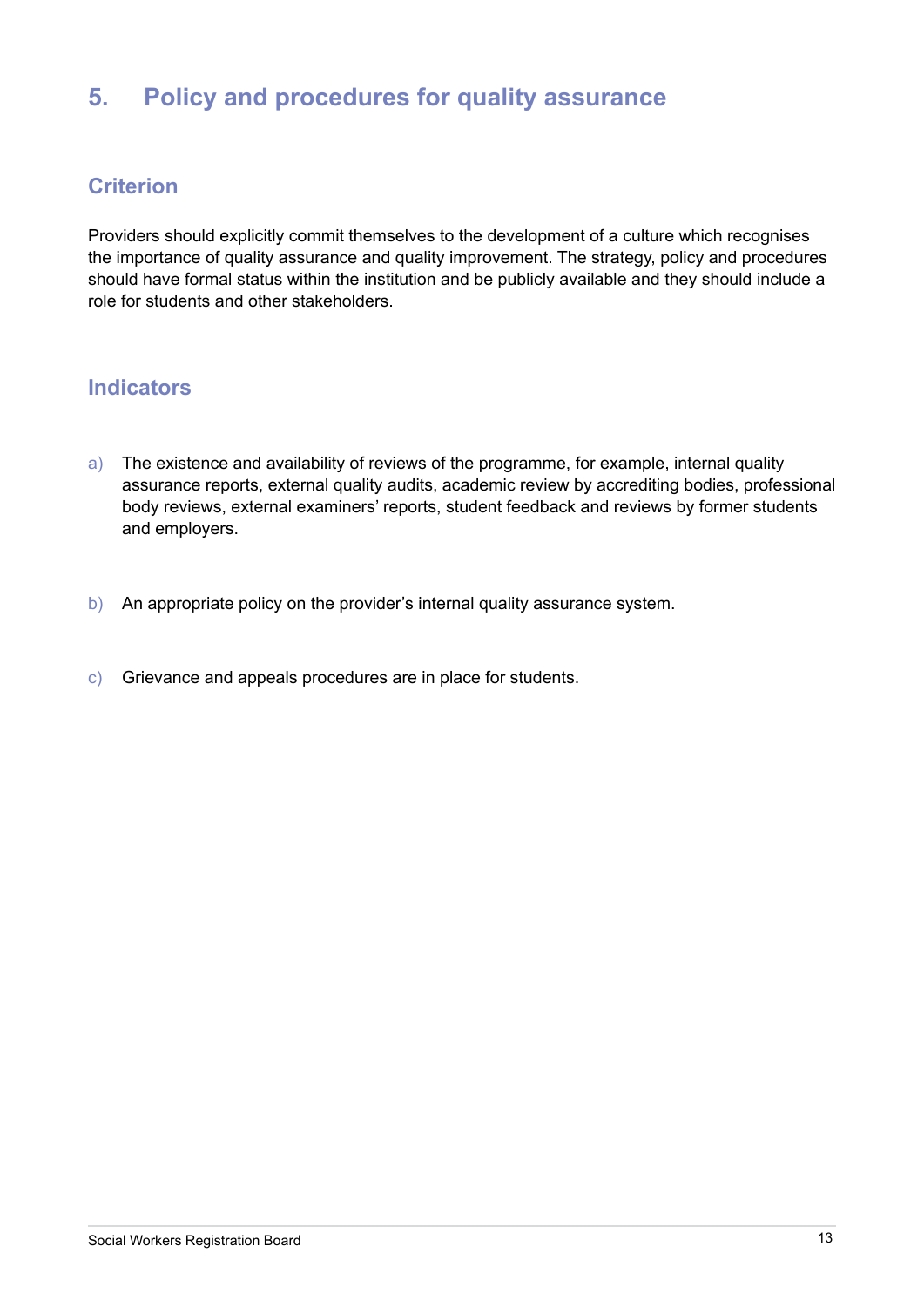# **5. Policy and procedures for quality assurance**

#### **Criterion**

Providers should explicitly commit themselves to the development of a culture which recognises the importance of quality assurance and quality improvement. The strategy, policy and procedures should have formal status within the institution and be publicly available and they should include a role for students and other stakeholders.

- a) The existence and availability of reviews of the programme, for example, internal quality assurance reports, external quality audits, academic review by accrediting bodies, professional body reviews, external examiners' reports, student feedback and reviews by former students and employers.
- b) An appropriate policy on the provider's internal quality assurance system.
- c) Grievance and appeals procedures are in place for students.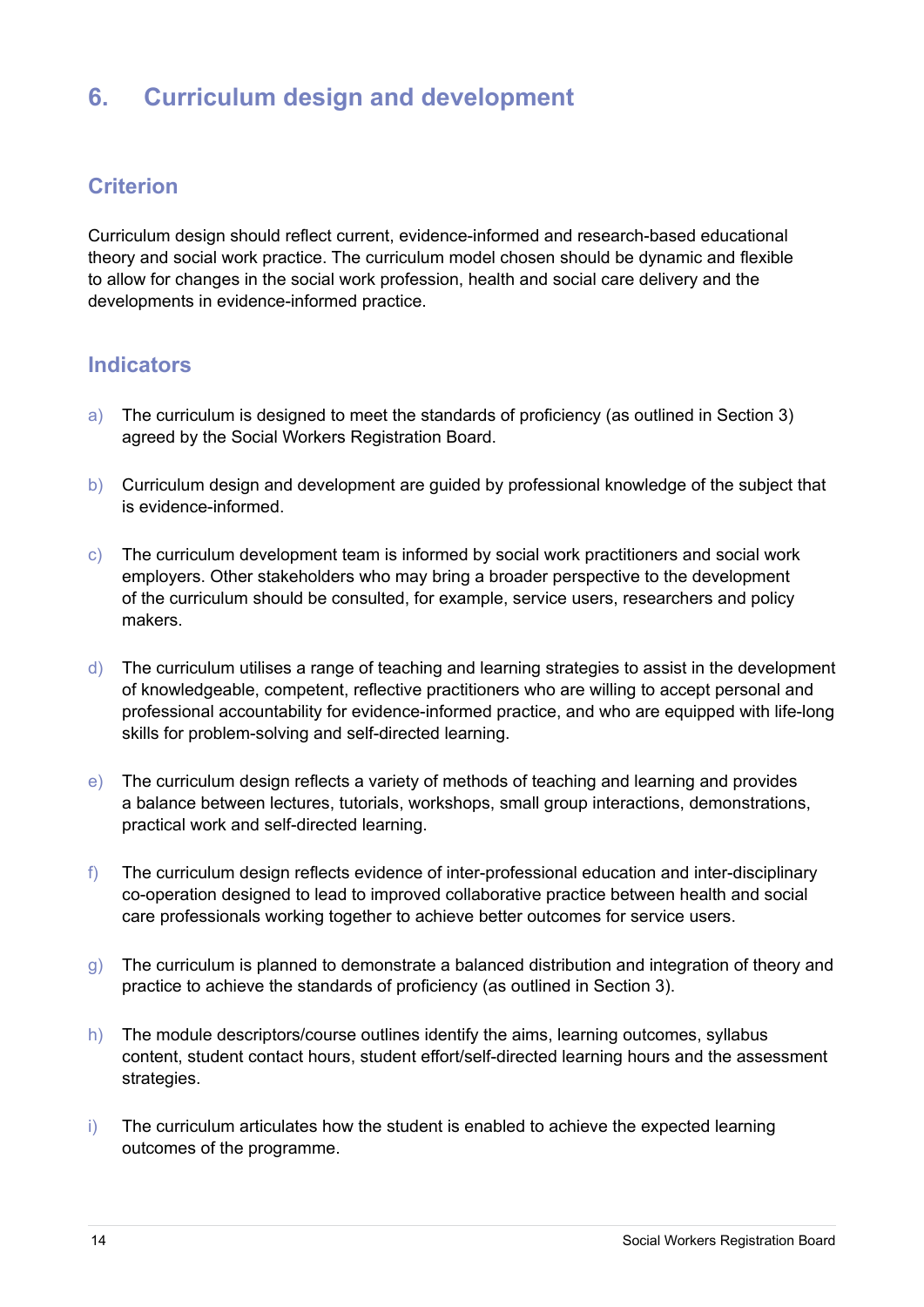# **6. Curriculum design and development**

#### **Criterion**

Curriculum design should reflect current, evidence-informed and research-based educational theory and social work practice. The curriculum model chosen should be dynamic and flexible to allow for changes in the social work profession, health and social care delivery and the developments in evidence-informed practice.

- a) The curriculum is designed to meet the standards of proficiency (as outlined in Section 3) agreed by the Social Workers Registration Board.
- b) Curriculum design and development are guided by professional knowledge of the subject that is evidence-informed.
- c) The curriculum development team is informed by social work practitioners and social work employers. Other stakeholders who may bring a broader perspective to the development of the curriculum should be consulted, for example, service users, researchers and policy makers.
- d) The curriculum utilises a range of teaching and learning strategies to assist in the development of knowledgeable, competent, reflective practitioners who are willing to accept personal and professional accountability for evidence-informed practice, and who are equipped with life-long skills for problem-solving and self-directed learning.
- e) The curriculum design reflects a variety of methods of teaching and learning and provides a balance between lectures, tutorials, workshops, small group interactions, demonstrations, practical work and self-directed learning.
- $f$ ) The curriculum design reflects evidence of inter-professional education and inter-disciplinary co-operation designed to lead to improved collaborative practice between health and social care professionals working together to achieve better outcomes for service users.
- g) The curriculum is planned to demonstrate a balanced distribution and integration of theory and practice to achieve the standards of proficiency (as outlined in Section 3).
- h) The module descriptors/course outlines identify the aims, learning outcomes, syllabus content, student contact hours, student effort/self-directed learning hours and the assessment strategies.
- i) The curriculum articulates how the student is enabled to achieve the expected learning outcomes of the programme.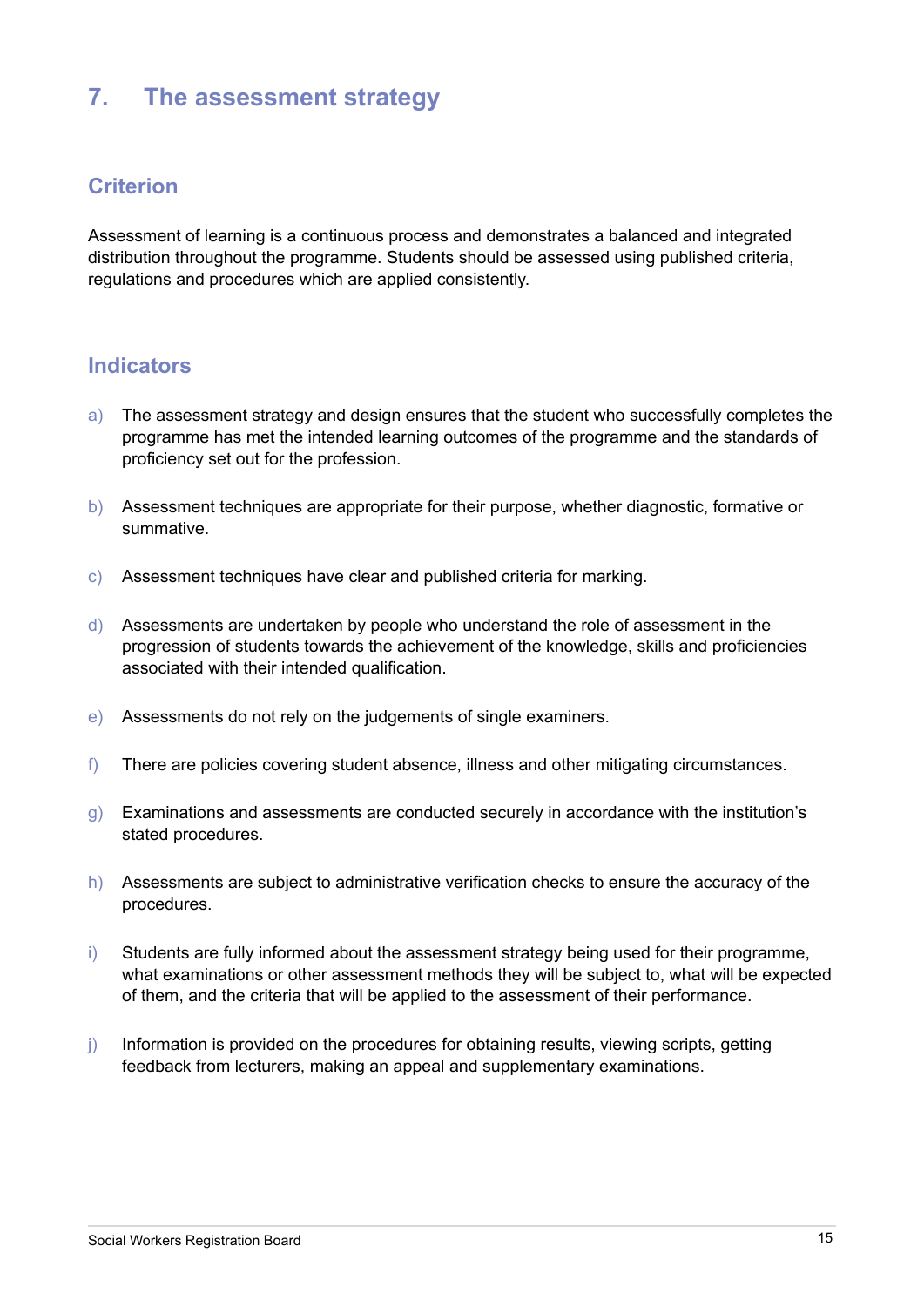### **7. The assessment strategy**

#### **Criterion**

Assessment of learning is a continuous process and demonstrates a balanced and integrated distribution throughout the programme. Students should be assessed using published criteria, regulations and procedures which are applied consistently.

- a) The assessment strategy and design ensures that the student who successfully completes the programme has met the intended learning outcomes of the programme and the standards of proficiency set out for the profession.
- b) Assessment techniques are appropriate for their purpose, whether diagnostic, formative or summative.
- c) Assessment techniques have clear and published criteria for marking.
- d) Assessments are undertaken by people who understand the role of assessment in the progression of students towards the achievement of the knowledge, skills and proficiencies associated with their intended qualification.
- e) Assessments do not rely on the judgements of single examiners.
- f) There are policies covering student absence, illness and other mitigating circumstances.
- $g$ ) Examinations and assessments are conducted securely in accordance with the institution's stated procedures.
- h) Assessments are subject to administrative verification checks to ensure the accuracy of the procedures.
- i) Students are fully informed about the assessment strategy being used for their programme, what examinations or other assessment methods they will be subject to, what will be expected of them, and the criteria that will be applied to the assessment of their performance.
- j) Information is provided on the procedures for obtaining results, viewing scripts, getting feedback from lecturers, making an appeal and supplementary examinations.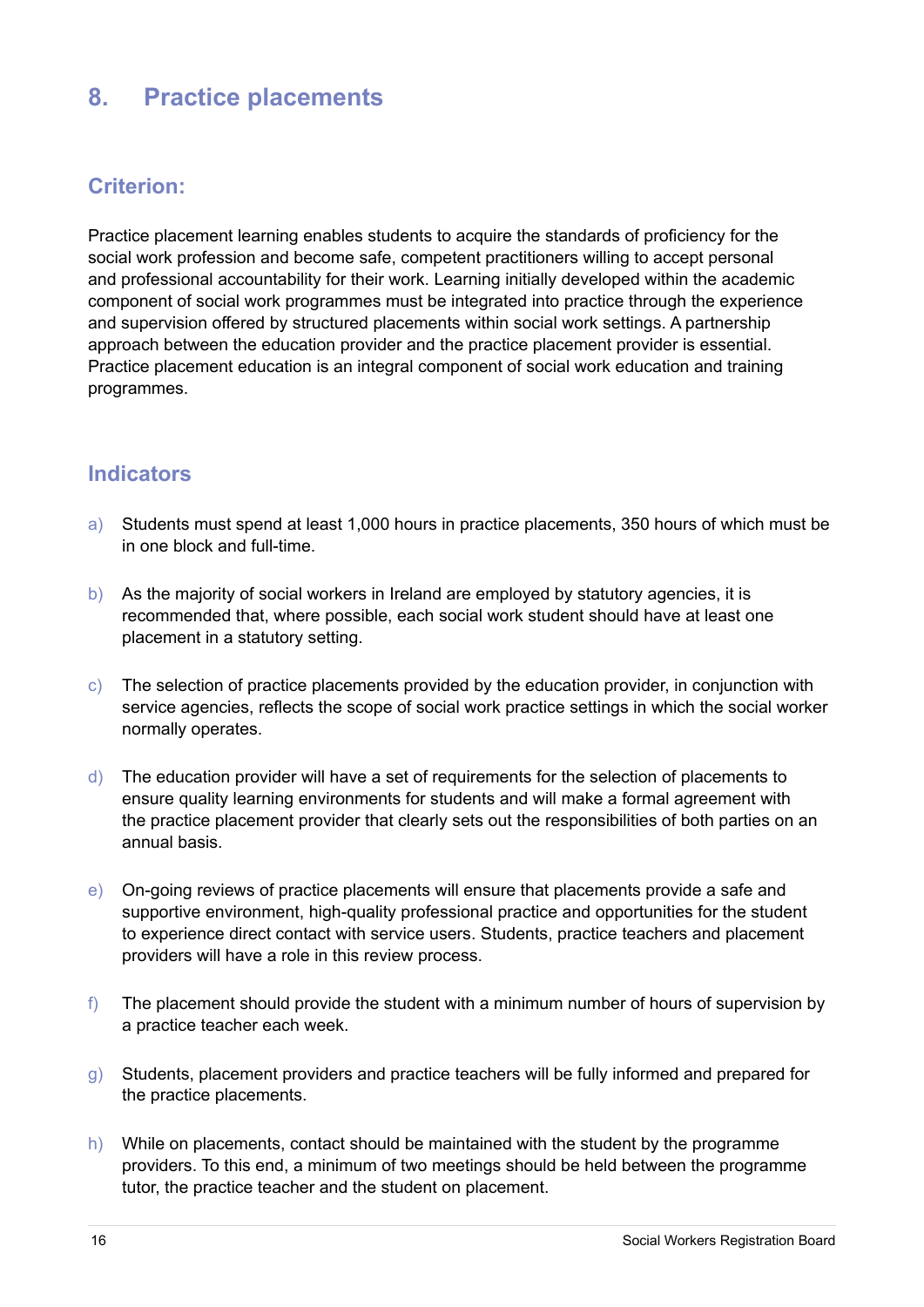### **8. Practice placements**

#### **Criterion:**

Practice placement learning enables students to acquire the standards of proficiency for the social work profession and become safe, competent practitioners willing to accept personal and professional accountability for their work. Learning initially developed within the academic component of social work programmes must be integrated into practice through the experience and supervision offered by structured placements within social work settings. A partnership approach between the education provider and the practice placement provider is essential. Practice placement education is an integral component of social work education and training programmes.

- a) Students must spend at least 1,000 hours in practice placements, 350 hours of which must be in one block and full-time.
- b) As the majority of social workers in Ireland are employed by statutory agencies, it is recommended that, where possible, each social work student should have at least one placement in a statutory setting.
- c) The selection of practice placements provided by the education provider, in conjunction with service agencies, reflects the scope of social work practice settings in which the social worker normally operates.
- d) The education provider will have a set of requirements for the selection of placements to ensure quality learning environments for students and will make a formal agreement with the practice placement provider that clearly sets out the responsibilities of both parties on an annual basis.
- e) On-going reviews of practice placements will ensure that placements provide a safe and supportive environment, high-quality professional practice and opportunities for the student to experience direct contact with service users. Students, practice teachers and placement providers will have a role in this review process.
- f) The placement should provide the student with a minimum number of hours of supervision by a practice teacher each week.
- g) Students, placement providers and practice teachers will be fully informed and prepared for the practice placements.
- h) While on placements, contact should be maintained with the student by the programme providers. To this end, a minimum of two meetings should be held between the programme tutor, the practice teacher and the student on placement.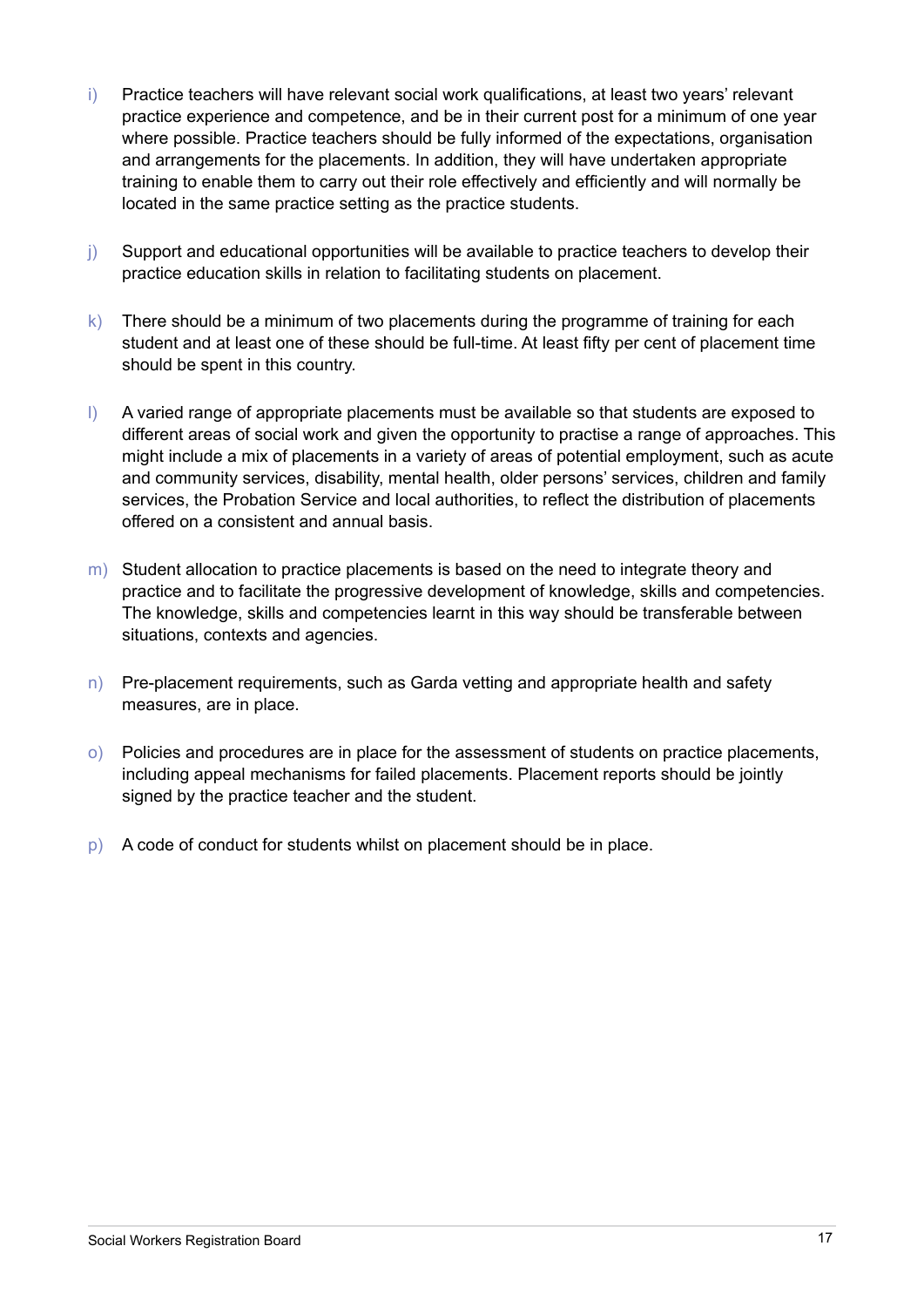- i) Practice teachers will have relevant social work qualifications, at least two years' relevant practice experience and competence, and be in their current post for a minimum of one year where possible. Practice teachers should be fully informed of the expectations, organisation and arrangements for the placements. In addition, they will have undertaken appropriate training to enable them to carry out their role effectively and efficiently and will normally be located in the same practice setting as the practice students.
- j) Support and educational opportunities will be available to practice teachers to develop their practice education skills in relation to facilitating students on placement.
- k) There should be a minimum of two placements during the programme of training for each student and at least one of these should be full-time. At least fifty per cent of placement time should be spent in this country.
- I) A varied range of appropriate placements must be available so that students are exposed to different areas of social work and given the opportunity to practise a range of approaches. This might include a mix of placements in a variety of areas of potential employment, such as acute and community services, disability, mental health, older persons' services, children and family services, the Probation Service and local authorities, to reflect the distribution of placements offered on a consistent and annual basis.
- m) Student allocation to practice placements is based on the need to integrate theory and practice and to facilitate the progressive development of knowledge, skills and competencies. The knowledge, skills and competencies learnt in this way should be transferable between situations, contexts and agencies.
- $n)$  Pre-placement requirements, such as Garda vetting and appropriate health and safety measures, are in place.
- o) Policies and procedures are in place for the assessment of students on practice placements, including appeal mechanisms for failed placements. Placement reports should be jointly signed by the practice teacher and the student.
- p) A code of conduct for students whilst on placement should be in place.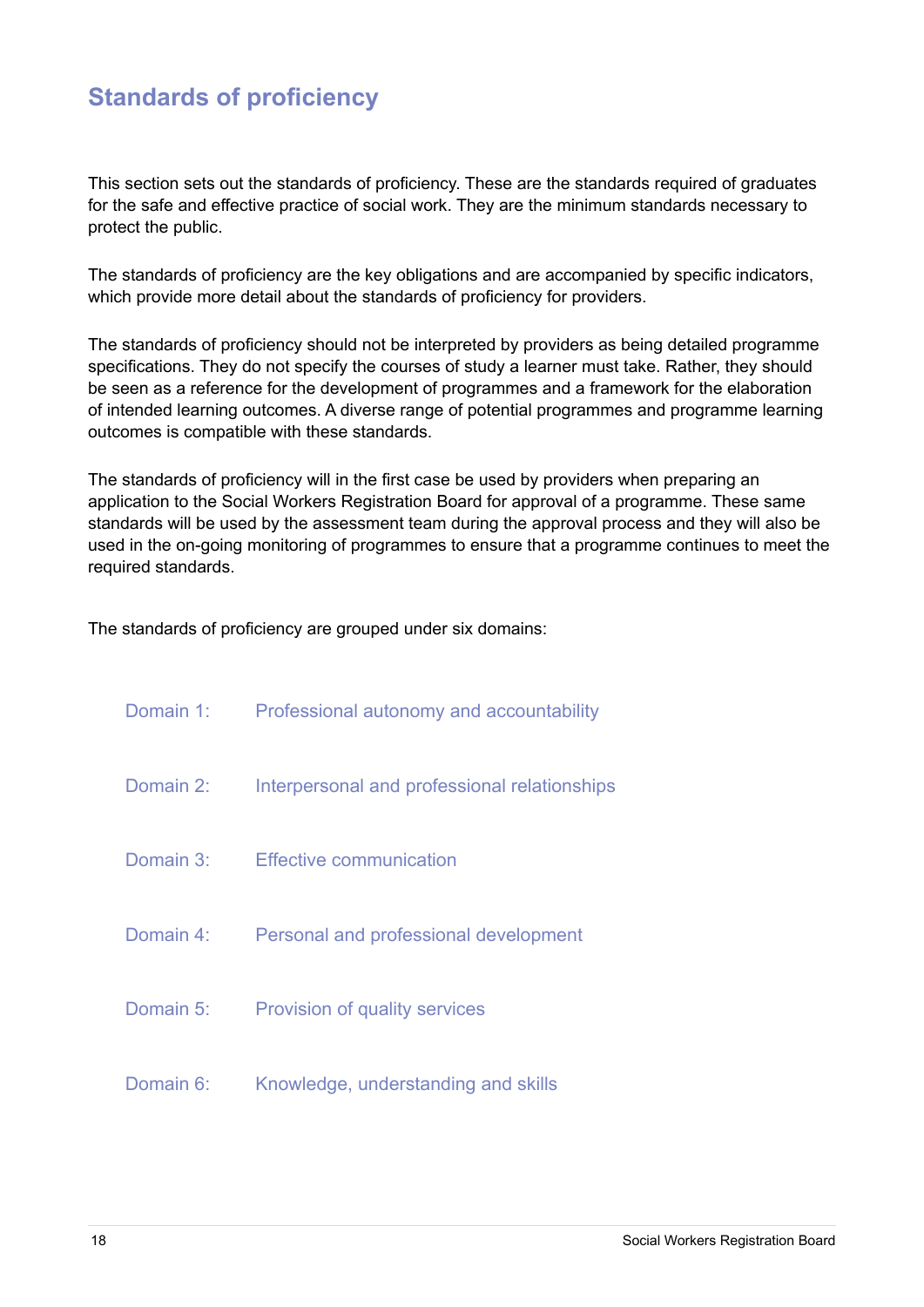# **Standards of proficiency**

This section sets out the standards of proficiency. These are the standards required of graduates for the safe and effective practice of social work. They are the minimum standards necessary to protect the public.

The standards of proficiency are the key obligations and are accompanied by specific indicators, which provide more detail about the standards of proficiency for providers.

The standards of proficiency should not be interpreted by providers as being detailed programme specifications. They do not specify the courses of study a learner must take. Rather, they should be seen as a reference for the development of programmes and a framework for the elaboration of intended learning outcomes. A diverse range of potential programmes and programme learning outcomes is compatible with these standards.

The standards of proficiency will in the first case be used by providers when preparing an application to the Social Workers Registration Board for approval of a programme. These same standards will be used by the assessment team during the approval process and they will also be used in the on-going monitoring of programmes to ensure that a programme continues to meet the required standards.

The standards of proficiency are grouped under six domains:

|           | Domain 1: Professional autonomy and accountability |
|-----------|----------------------------------------------------|
| Domain 2: | Interpersonal and professional relationships       |
| Domain 3: | Effective communication                            |
| Domain 4: | Personal and professional development              |
| Domain 5: | <b>Provision of quality services</b>               |
| Domain 6: | Knowledge, understanding and skills                |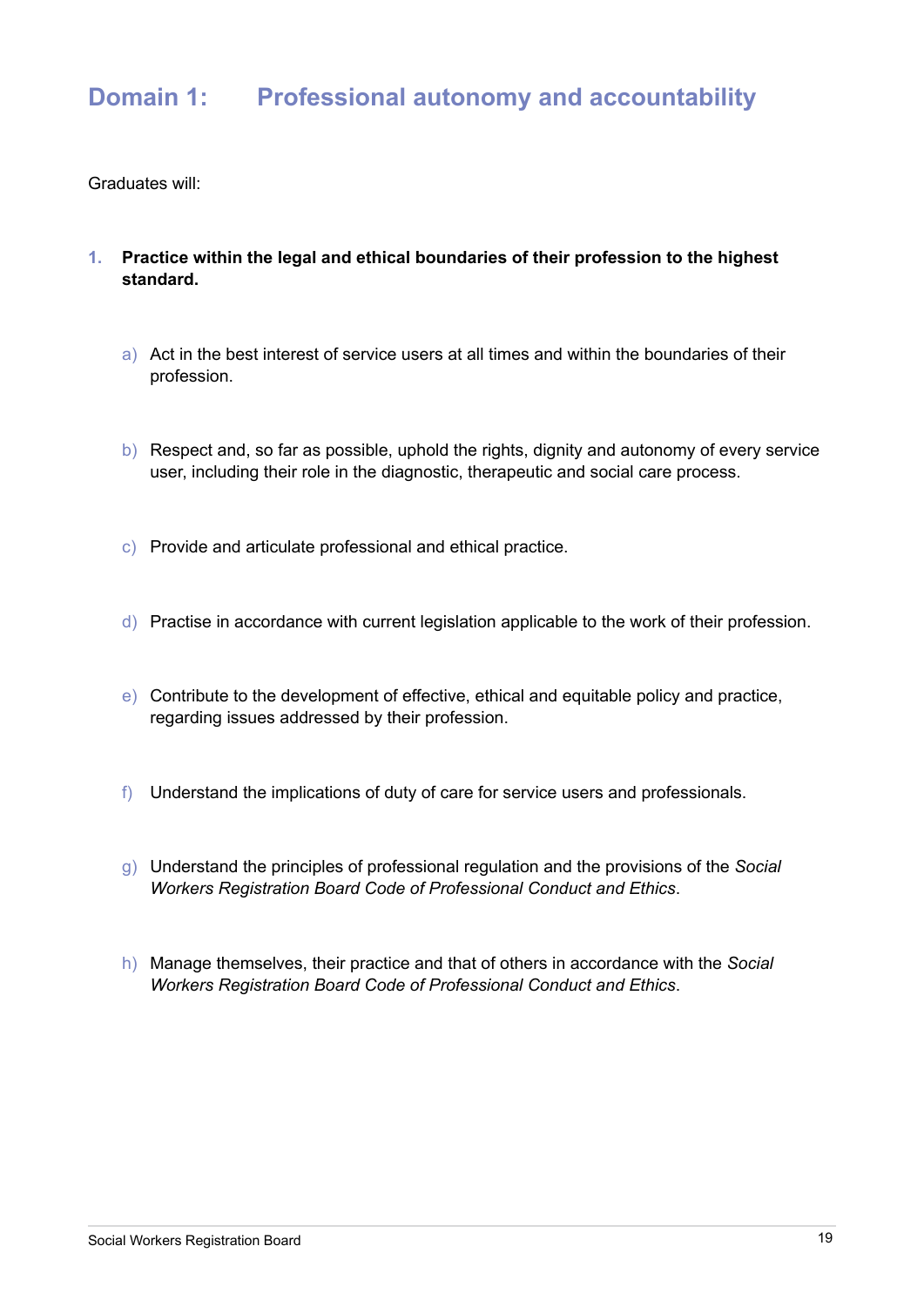- **1. Practice within the legal and ethical boundaries of their profession to the highest standard.** 
	- a) Act in the best interest of service users at all times and within the boundaries of their profession.
	- b) Respect and, so far as possible, uphold the rights, dignity and autonomy of every service user, including their role in the diagnostic, therapeutic and social care process.
	- c) Provide and articulate professional and ethical practice.
	- d) Practise in accordance with current legislation applicable to the work of their profession.
	- e) Contribute to the development of effective, ethical and equitable policy and practice, regarding issues addressed by their profession.
	- f) Understand the implications of duty of care for service users and professionals.
	- g) Understand the principles of professional regulation and the provisions of the *Social Workers Registration Board Code of Professional Conduct and Ethics*.
	- h) Manage themselves, their practice and that of others in accordance with the *Social Workers Registration Board Code of Professional Conduct and Ethics*.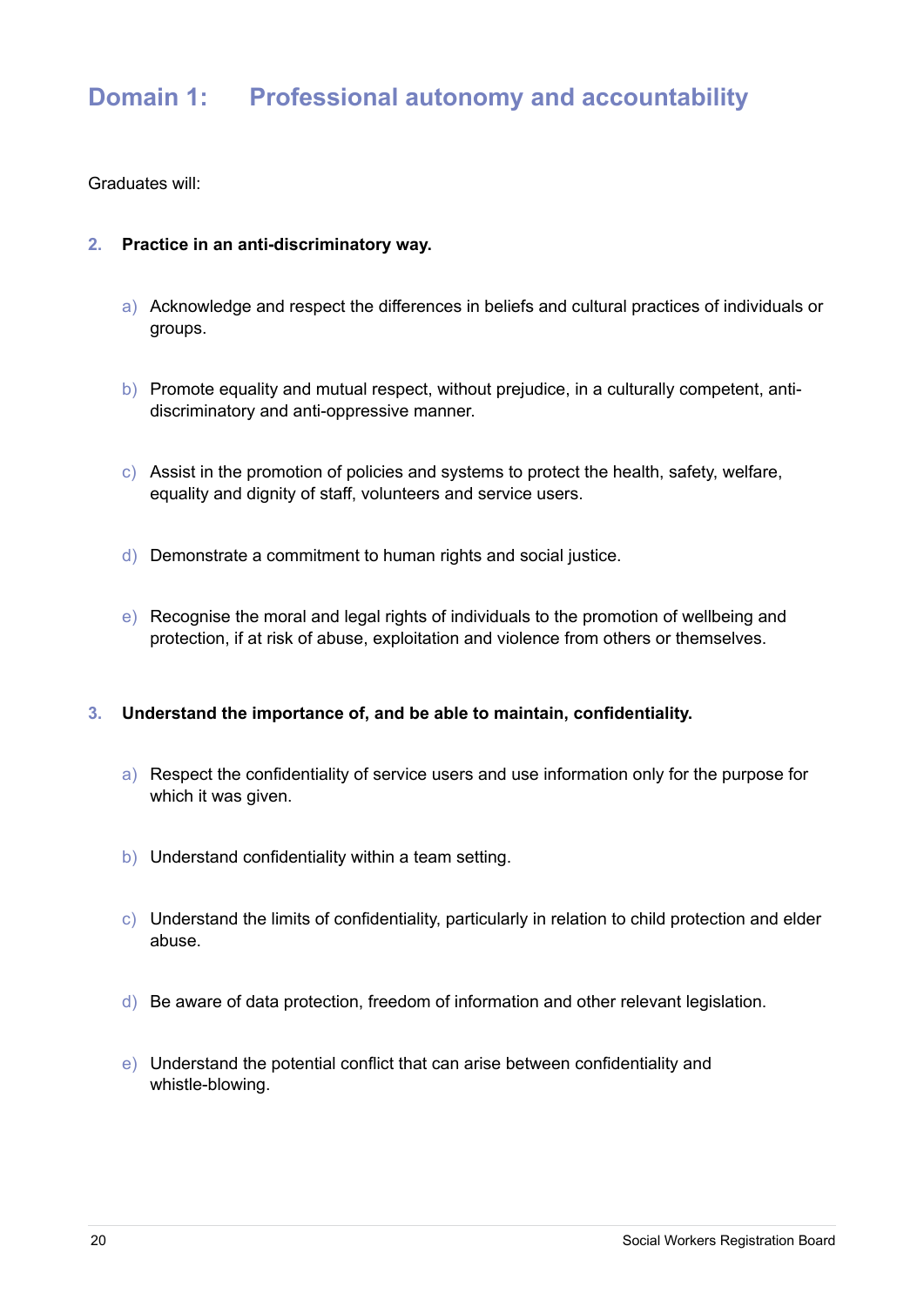Graduates will:

#### **2. Practice in an anti-discriminatory way.**

- a) Acknowledge and respect the differences in beliefs and cultural practices of individuals or groups.
- b) Promote equality and mutual respect, without prejudice, in a culturally competent, antidiscriminatory and anti-oppressive manner.
- c) Assist in the promotion of policies and systems to protect the health, safety, welfare, equality and dignity of staff, volunteers and service users.
- d) Demonstrate a commitment to human rights and social justice.
- e) Recognise the moral and legal rights of individuals to the promotion of wellbeing and protection, if at risk of abuse, exploitation and violence from others or themselves.

#### **3. Understand the importance of, and be able to maintain, confidentiality.**

- a) Respect the confidentiality of service users and use information only for the purpose for which it was given.
- b) Understand confidentiality within a team setting.
- $\vert c \vert$  Understand the limits of confidentiality, particularly in relation to child protection and elder abuse.
- d) Be aware of data protection, freedom of information and other relevant legislation.
- e) Understand the potential conflict that can arise between confidentiality and whistle-blowing.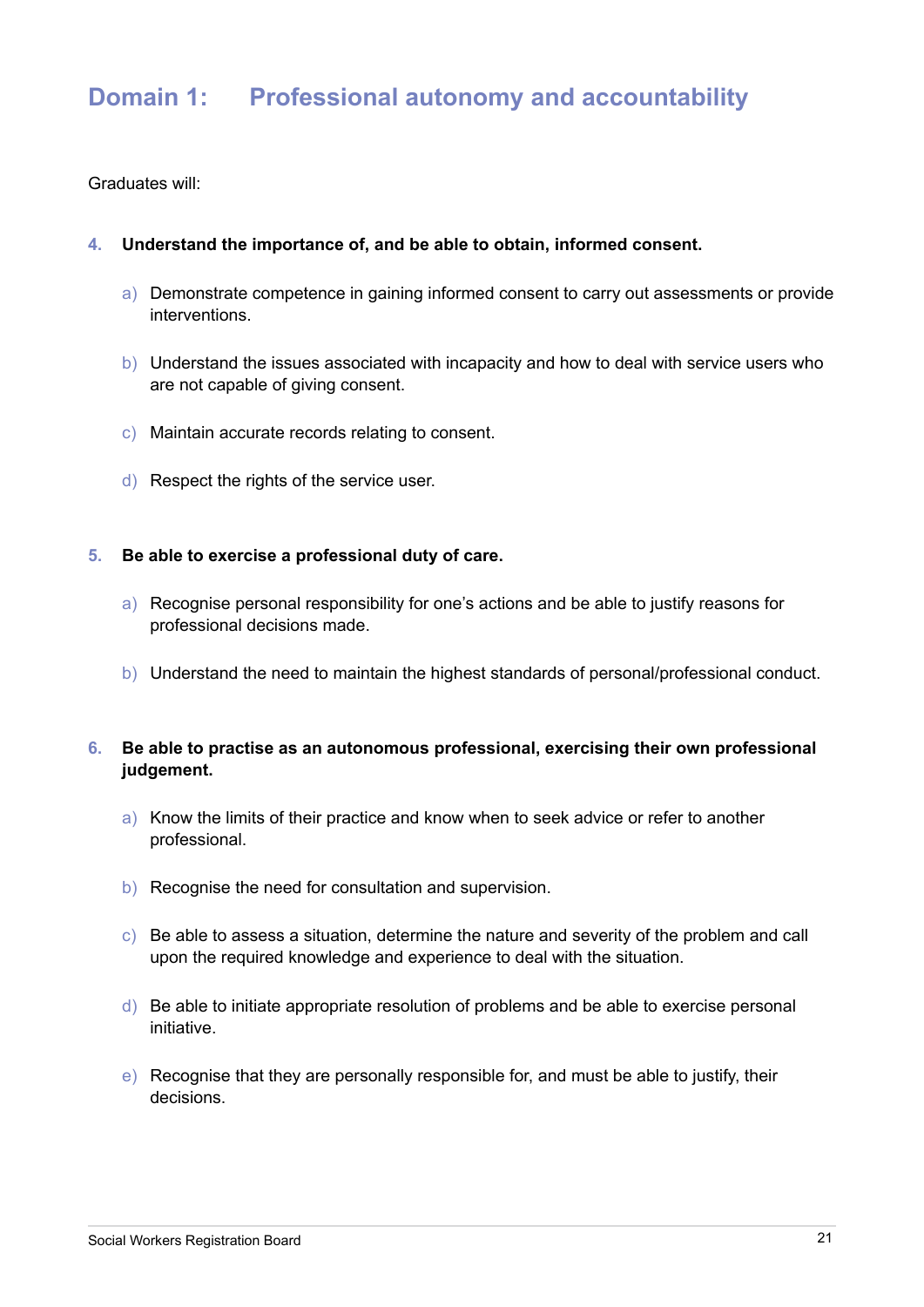Graduates will:

#### **4. Understand the importance of, and be able to obtain, informed consent.**

- a) Demonstrate competence in gaining informed consent to carry out assessments or provide interventions.
- b) Understand the issues associated with incapacity and how to deal with service users who are not capable of giving consent.
- c) Maintain accurate records relating to consent.
- d) Respect the rights of the service user.

#### **5. Be able to exercise a professional duty of care.**

- a) Recognise personal responsibility for one's actions and be able to justify reasons for professional decisions made.
- b) Understand the need to maintain the highest standards of personal/professional conduct.

#### **6. Be able to practise as an autonomous professional, exercising their own professional judgement.**

- a) Know the limits of their practice and know when to seek advice or refer to another professional.
- b) Recognise the need for consultation and supervision.
- c) Be able to assess a situation, determine the nature and severity of the problem and call upon the required knowledge and experience to deal with the situation.
- $d)$  Be able to initiate appropriate resolution of problems and be able to exercise personal initiative.
- e) Recognise that they are personally responsible for, and must be able to justify, their decisions.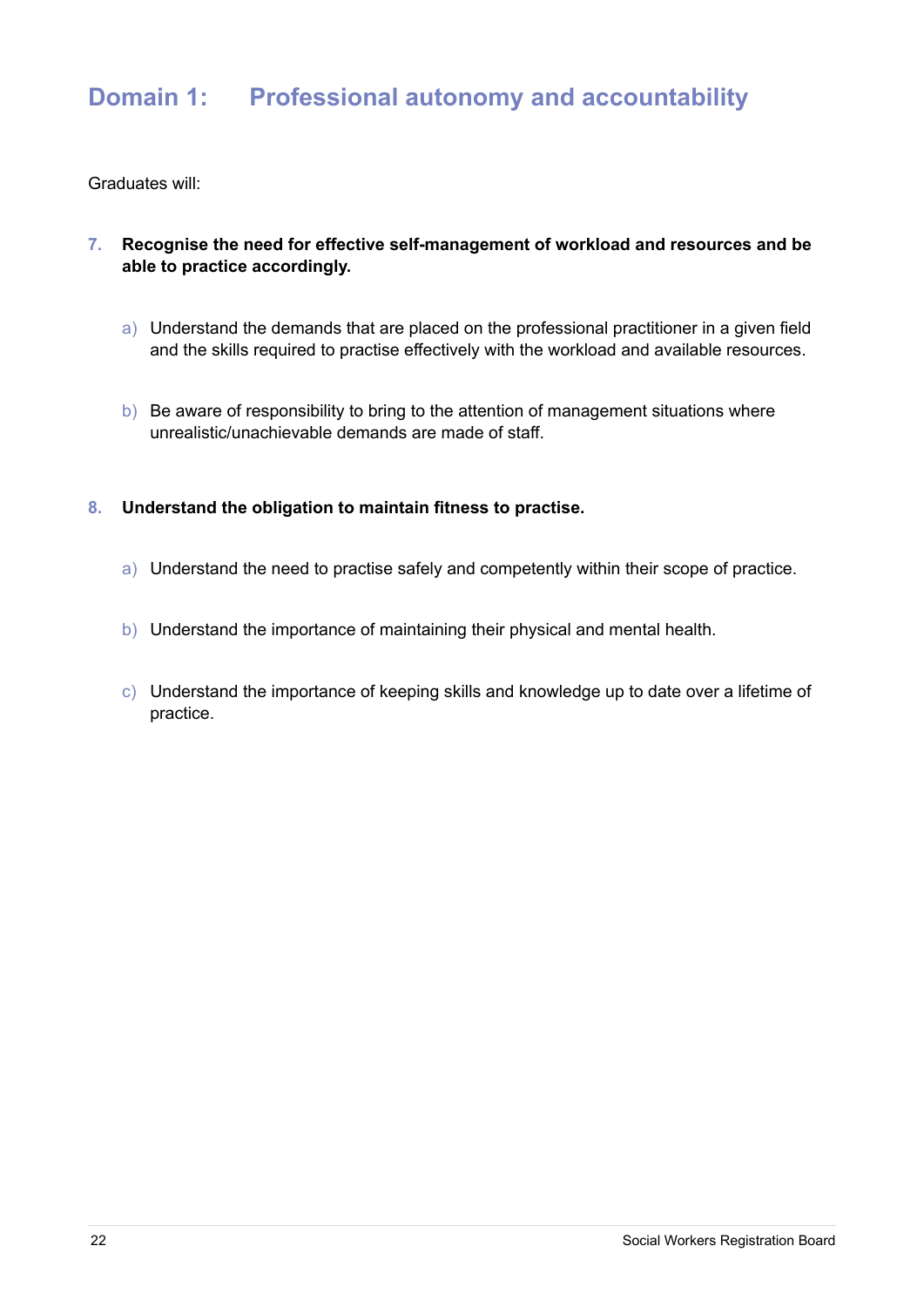- **7. Recognise the need for effective self-management of workload and resources and be able to practice accordingly.** 
	- a) Understand the demands that are placed on the professional practitioner in a given field and the skills required to practise effectively with the workload and available resources.
	- b) Be aware of responsibility to bring to the attention of management situations where unrealistic/unachievable demands are made of staff.
- **8. Understand the obligation to maintain fitness to practise.** 
	- a) Understand the need to practise safely and competently within their scope of practice.
	- b) Understand the importance of maintaining their physical and mental health.
	- c) Understand the importance of keeping skills and knowledge up to date over a lifetime of practice.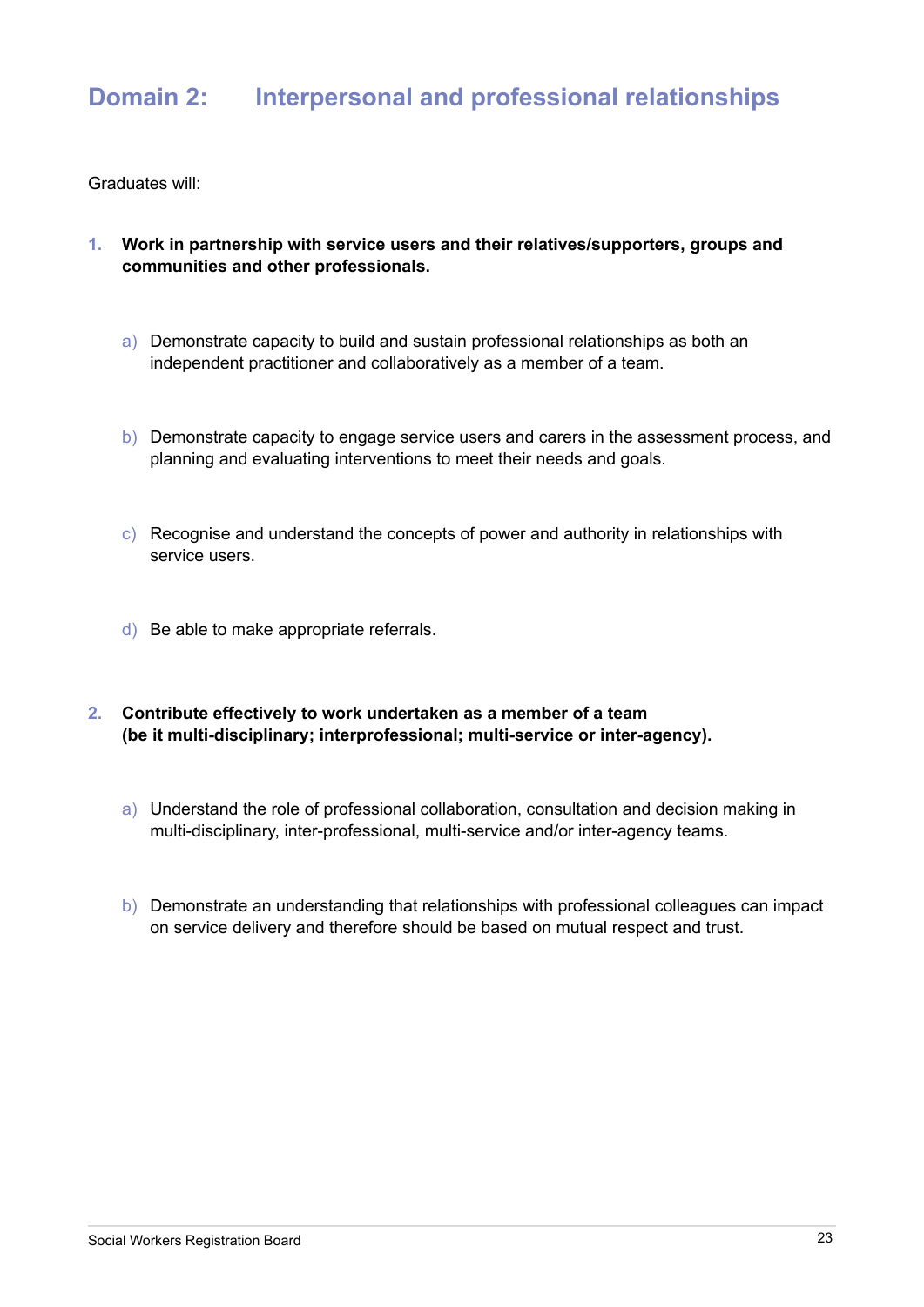### **Domain 2: Interpersonal and professional relationships**

- **1. Work in partnership with service users and their relatives/supporters, groups and communities and other professionals.**
	- a) Demonstrate capacity to build and sustain professional relationships as both an independent practitioner and collaboratively as a member of a team.
	- b) Demonstrate capacity to engage service users and carers in the assessment process, and planning and evaluating interventions to meet their needs and goals.
	- c) Recognise and understand the concepts of power and authority in relationships with service users.
	- d) Be able to make appropriate referrals.
- **2. Contribute effectively to work undertaken as a member of a team (be it multi-disciplinary; interprofessional; multi-service or inter-agency).**
	- a) Understand the role of professional collaboration, consultation and decision making in multi-disciplinary, inter-professional, multi-service and/or inter-agency teams.
	- b) Demonstrate an understanding that relationships with professional colleagues can impact on service delivery and therefore should be based on mutual respect and trust.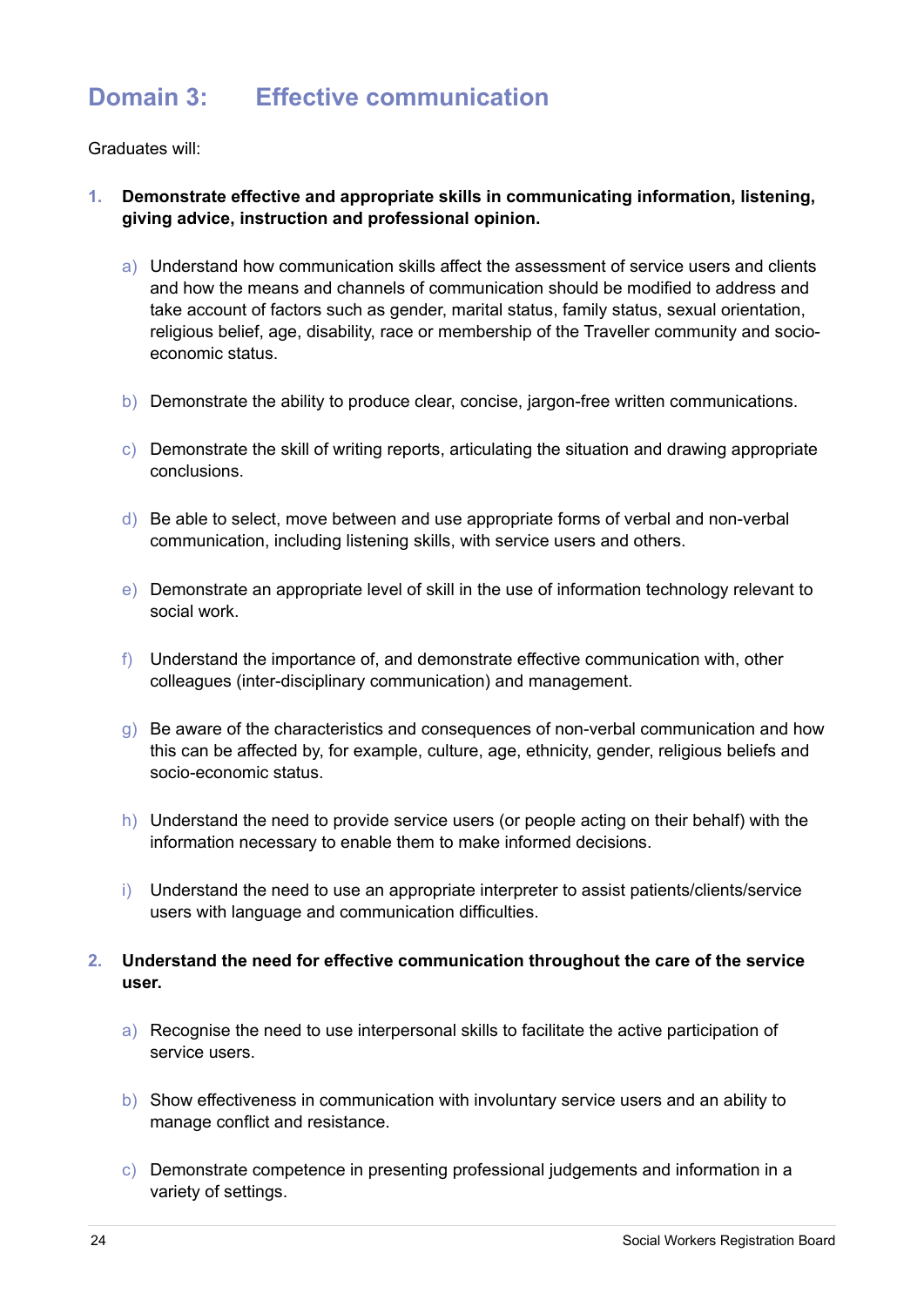# **Domain 3: Effective communication**

Graduates will:

- **1. Demonstrate effective and appropriate skills in communicating information, listening, giving advice, instruction and professional opinion.**
	- a) Understand how communication skills affect the assessment of service users and clients and how the means and channels of communication should be modified to address and take account of factors such as gender, marital status, family status, sexual orientation, religious belief, age, disability, race or membership of the Traveller community and socioeconomic status.
	- b) Demonstrate the ability to produce clear, concise, jargon-free written communications.
	- c) Demonstrate the skill of writing reports, articulating the situation and drawing appropriate conclusions.
	- d) Be able to select, move between and use appropriate forms of verbal and non-verbal communication, including listening skills, with service users and others.
	- e) Demonstrate an appropriate level of skill in the use of information technology relevant to social work.
	- f) Understand the importance of, and demonstrate effective communication with, other colleagues (inter-disciplinary communication) and management.
	- g) Be aware of the characteristics and consequences of non-verbal communication and how this can be affected by, for example, culture, age, ethnicity, gender, religious beliefs and socio-economic status.
	- h) Understand the need to provide service users (or people acting on their behalf) with the information necessary to enable them to make informed decisions.
	- i) Understand the need to use an appropriate interpreter to assist patients/clients/service users with language and communication difficulties.

#### **2. Understand the need for effective communication throughout the care of the service user.**

- a) Recognise the need to use interpersonal skills to facilitate the active participation of service users.
- b) Show effectiveness in communication with involuntary service users and an ability to manage conflict and resistance.
- c) Demonstrate competence in presenting professional judgements and information in a variety of settings.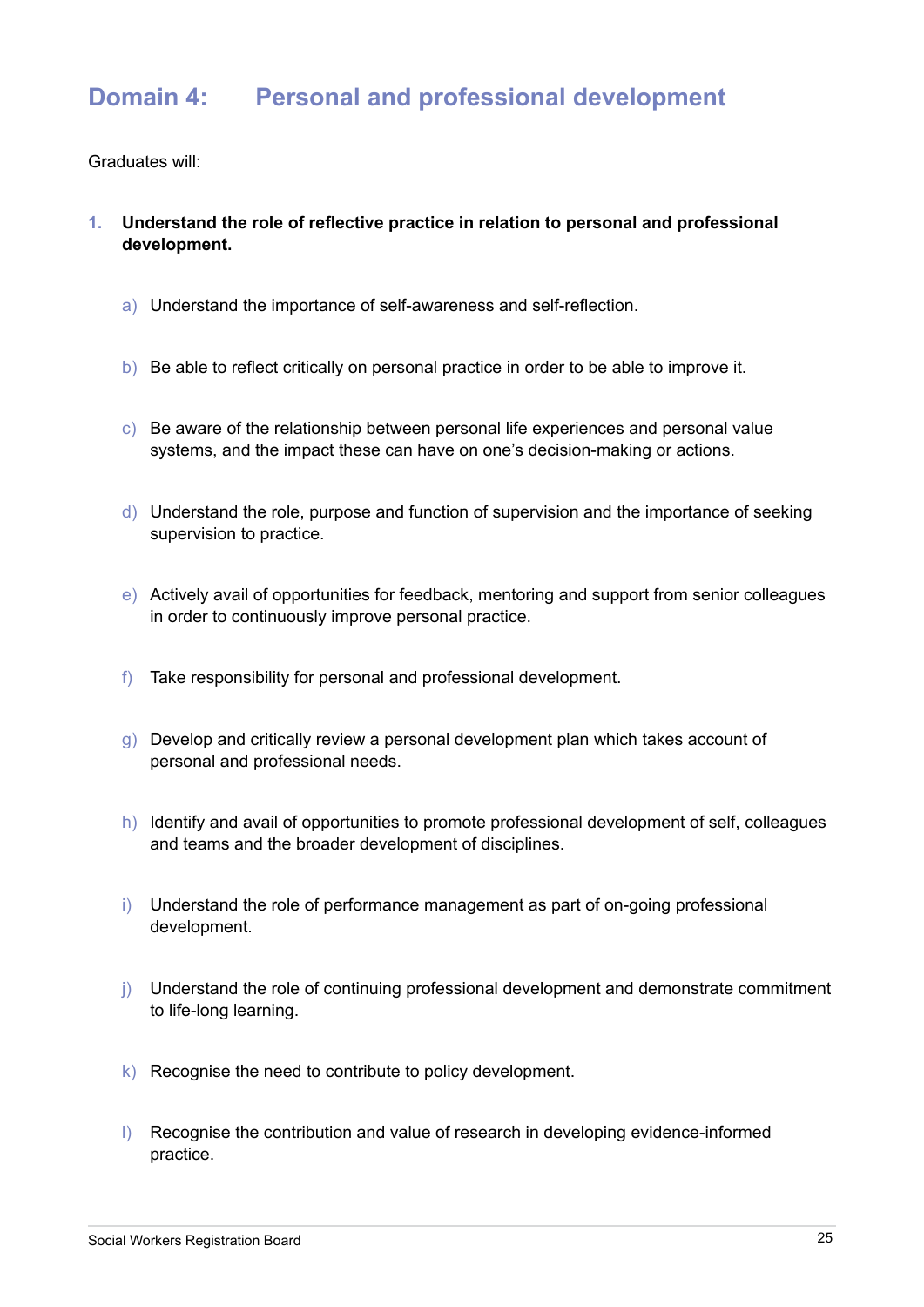### **Domain 4: Personal and professional development**

- **1. Understand the role of reflective practice in relation to personal and professional development.**
	- a) Understand the importance of self-awareness and self-reflection.
	- b) Be able to reflect critically on personal practice in order to be able to improve it.
	- c) Be aware of the relationship between personal life experiences and personal value systems, and the impact these can have on one's decision-making or actions.
	- d) Understand the role, purpose and function of supervision and the importance of seeking supervision to practice.
	- e) Actively avail of opportunities for feedback, mentoring and support from senior colleagues in order to continuously improve personal practice.
	- f) Take responsibility for personal and professional development.
	- g) Develop and critically review a personal development plan which takes account of personal and professional needs.
	- h) Identify and avail of opportunities to promote professional development of self, colleagues and teams and the broader development of disciplines.
	- i) Understand the role of performance management as part of on-going professional development.
	- j) Understand the role of continuing professional development and demonstrate commitment to life-long learning.
	- k) Recognise the need to contribute to policy development.
	- l) Recognise the contribution and value of research in developing evidence-informed practice.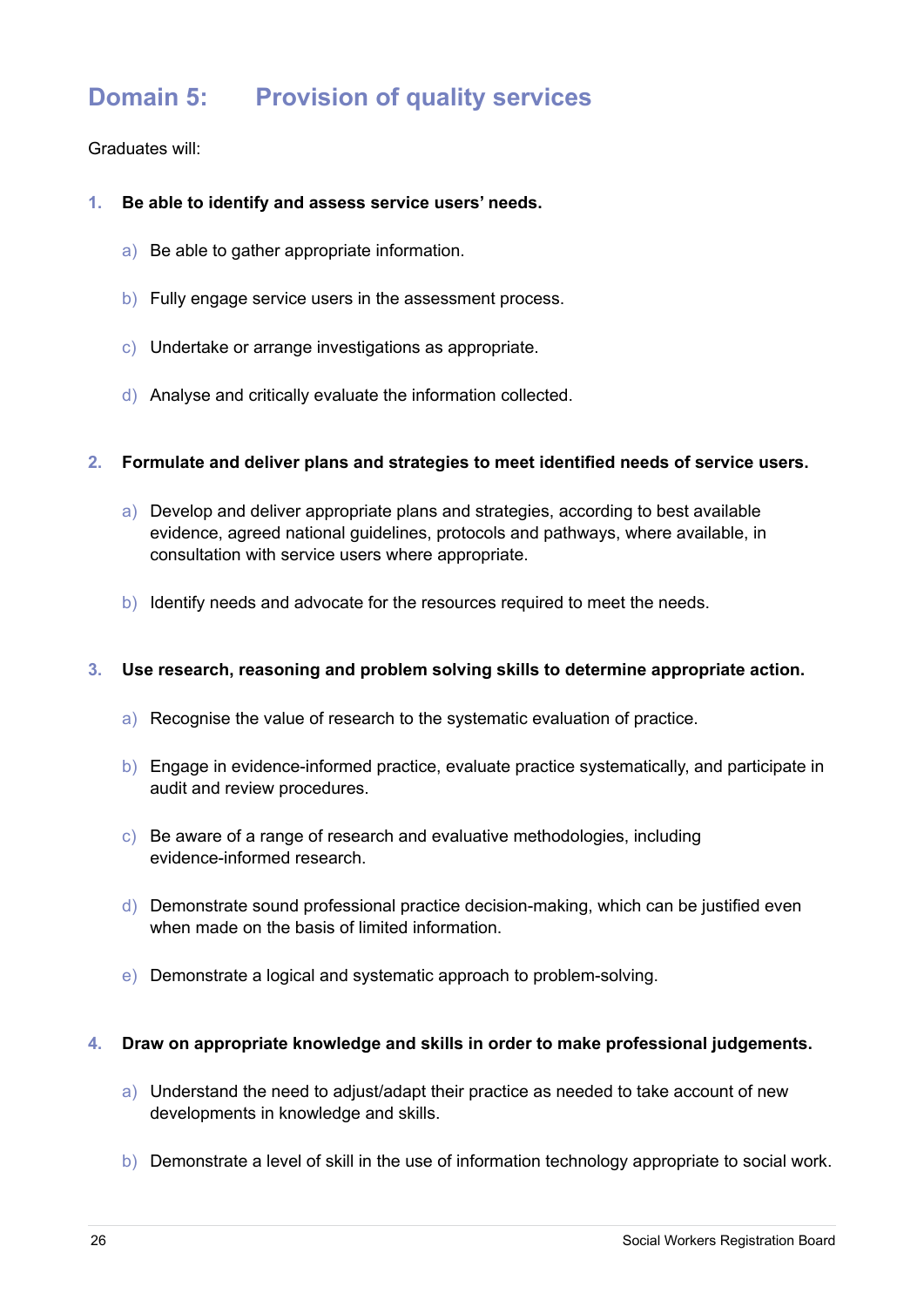# **Domain 5: Provision of quality services**

#### Graduates will:

#### **1. Be able to identify and assess service users' needs.**

- a) Be able to gather appropriate information.
- b) Fully engage service users in the assessment process.
- c) Undertake or arrange investigations as appropriate.
- d) Analyse and critically evaluate the information collected.

#### **2. Formulate and deliver plans and strategies to meet identified needs of service users.**

- a) Develop and deliver appropriate plans and strategies, according to best available evidence, agreed national guidelines, protocols and pathways, where available, in consultation with service users where appropriate.
- b) Identify needs and advocate for the resources required to meet the needs.

#### **3. Use research, reasoning and problem solving skills to determine appropriate action.**

- a) Recognise the value of research to the systematic evaluation of practice.
- b) Engage in evidence-informed practice, evaluate practice systematically, and participate in audit and review procedures.
- c) Be aware of a range of research and evaluative methodologies, including evidence-informed research.
- d) Demonstrate sound professional practice decision-making, which can be justified even when made on the basis of limited information.
- e) Demonstrate a logical and systematic approach to problem-solving.

#### **4. Draw on appropriate knowledge and skills in order to make professional judgements.**

- a) Understand the need to adjust/adapt their practice as needed to take account of new developments in knowledge and skills.
- b) Demonstrate a level of skill in the use of information technology appropriate to social work.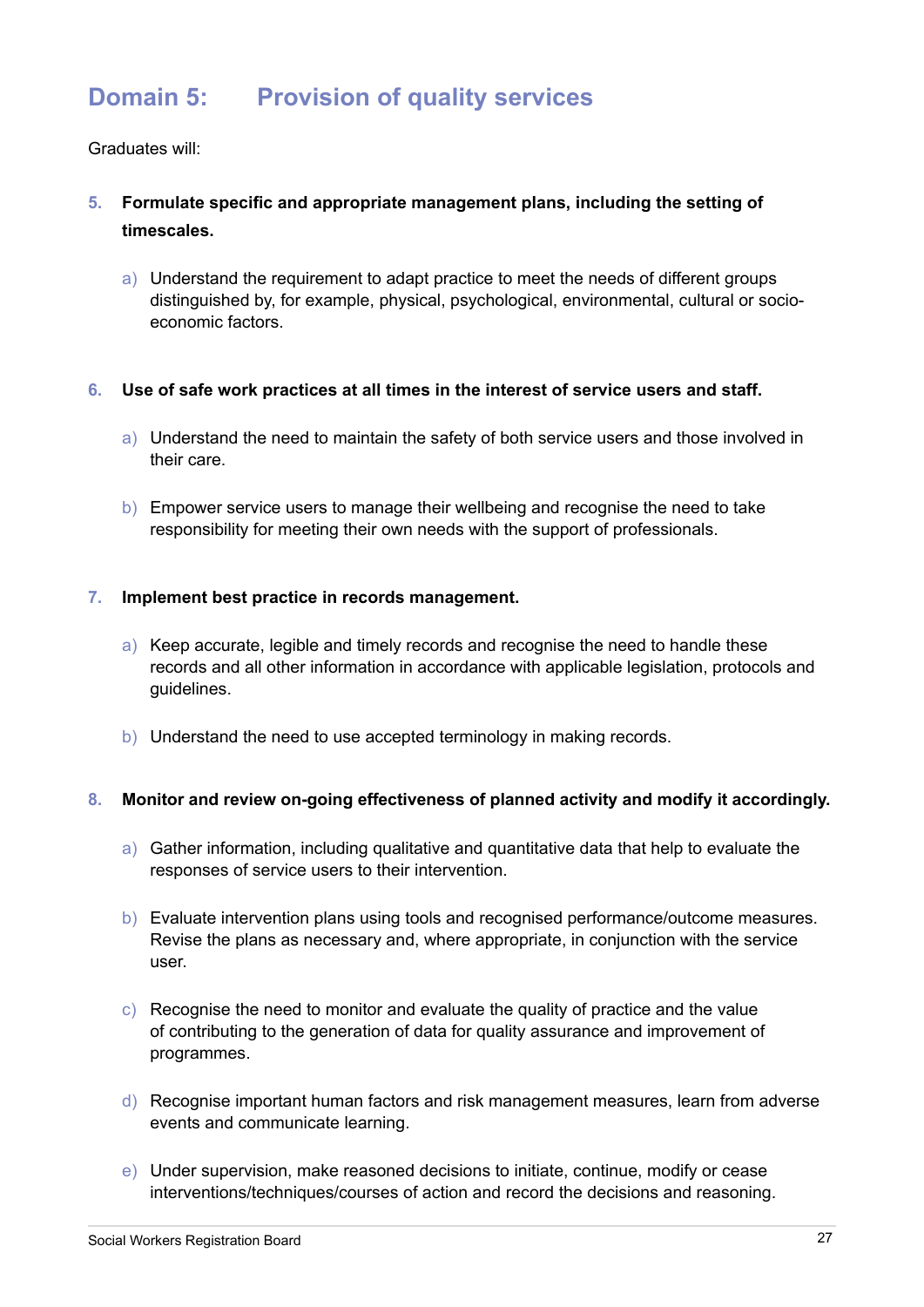# **Domain 5: Provision of quality services**

Graduates will:

- **5. Formulate specific and appropriate management plans, including the setting of timescales.**
	- a) Understand the requirement to adapt practice to meet the needs of different groups distinguished by, for example, physical, psychological, environmental, cultural or socioeconomic factors.

#### **6. Use of safe work practices at all times in the interest of service users and staff.**

- a) Understand the need to maintain the safety of both service users and those involved in their care.
- b) Empower service users to manage their wellbeing and recognise the need to take responsibility for meeting their own needs with the support of professionals.

#### **7. Implement best practice in records management.**

- a) Keep accurate, legible and timely records and recognise the need to handle these records and all other information in accordance with applicable legislation, protocols and guidelines.
- b) Understand the need to use accepted terminology in making records.

#### **8. Monitor and review on-going effectiveness of planned activity and modify it accordingly.**

- a) Gather information, including qualitative and quantitative data that help to evaluate the responses of service users to their intervention.
- b) Evaluate intervention plans using tools and recognised performance/outcome measures. Revise the plans as necessary and, where appropriate, in conjunction with the service user.
- c) Recognise the need to monitor and evaluate the quality of practice and the value of contributing to the generation of data for quality assurance and improvement of programmes.
- d) Recognise important human factors and risk management measures, learn from adverse events and communicate learning.
- e) Under supervision, make reasoned decisions to initiate, continue, modify or cease interventions/techniques/courses of action and record the decisions and reasoning.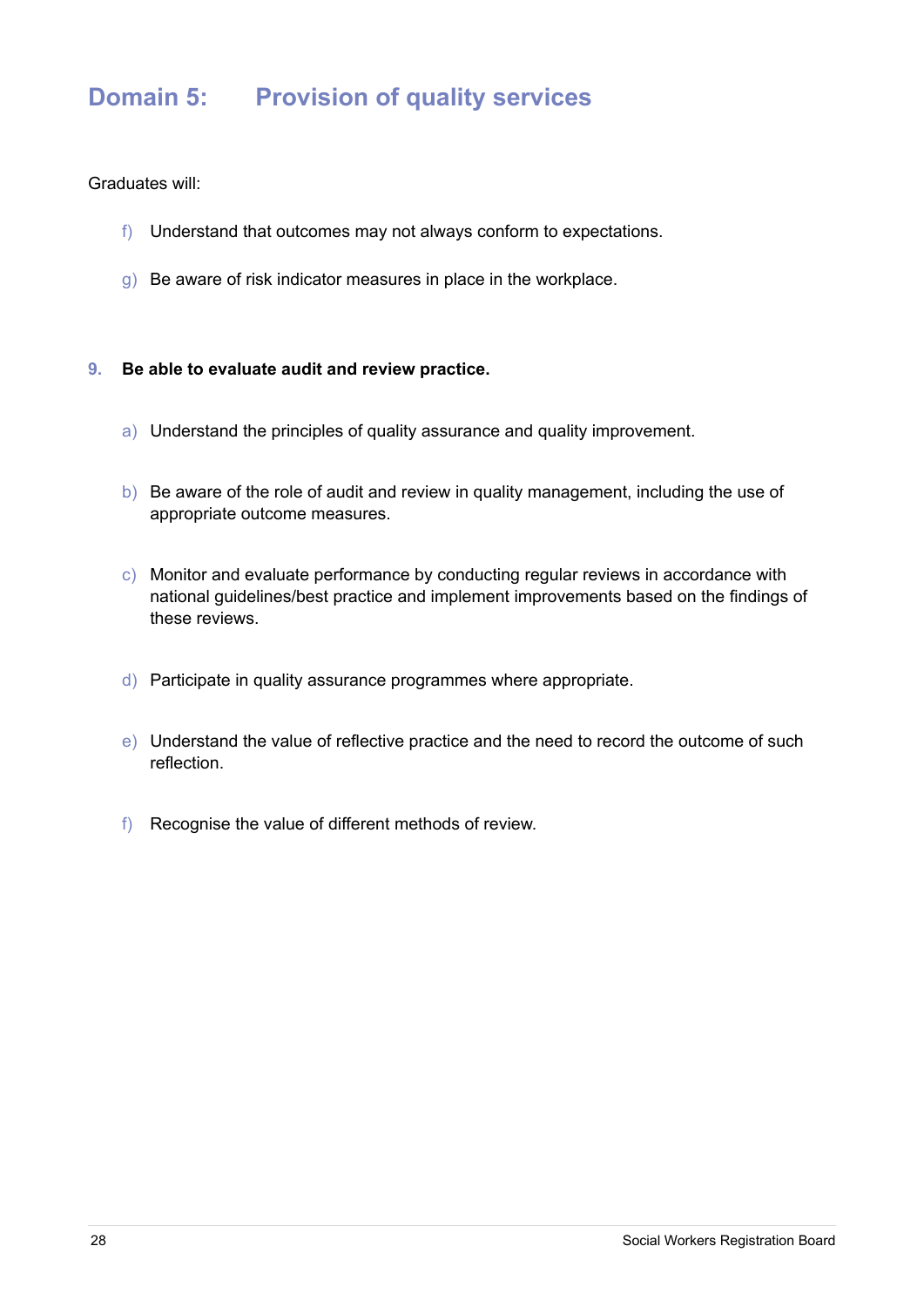# **Domain 5: Provision of quality services**

- f) Understand that outcomes may not always conform to expectations.
- g) Be aware of risk indicator measures in place in the workplace.
- **9. Be able to evaluate audit and review practice.**
	- a) Understand the principles of quality assurance and quality improvement.
	- b) Be aware of the role of audit and review in quality management, including the use of appropriate outcome measures.
	- c) Monitor and evaluate performance by conducting regular reviews in accordance with national guidelines/best practice and implement improvements based on the findings of these reviews.
	- d) Participate in quality assurance programmes where appropriate.
	- e) Understand the value of reflective practice and the need to record the outcome of such reflection.
	- f) Recognise the value of different methods of review.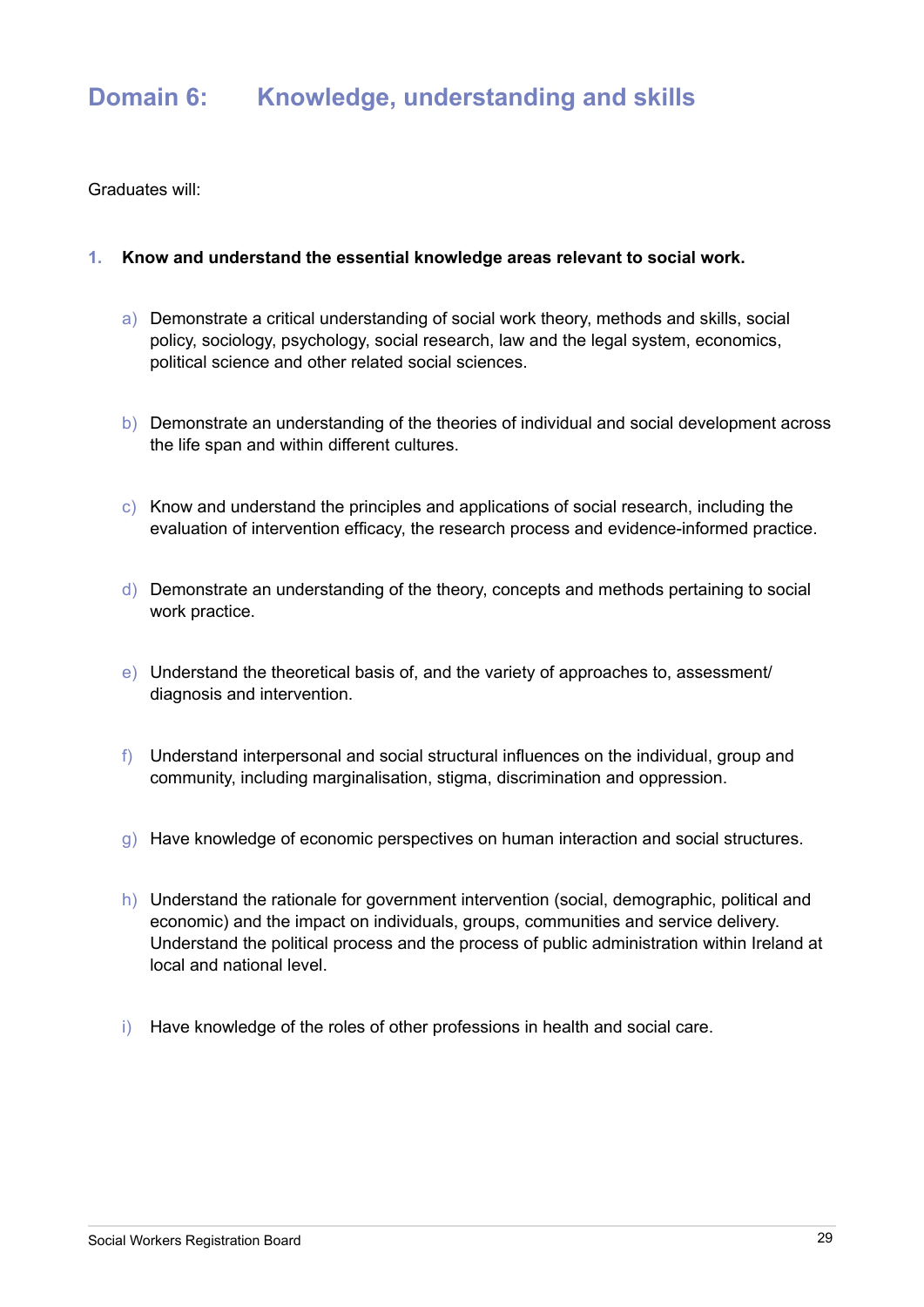# **Domain 6: Knowledge, understanding and skills**

Graduates will:

#### **1. Know and understand the essential knowledge areas relevant to social work.**

- a) Demonstrate a critical understanding of social work theory, methods and skills, social policy, sociology, psychology, social research, law and the legal system, economics, political science and other related social sciences.
- b) Demonstrate an understanding of the theories of individual and social development across the life span and within different cultures.
- c) Know and understand the principles and applications of social research, including the evaluation of intervention efficacy, the research process and evidence-informed practice.
- d) Demonstrate an understanding of the theory, concepts and methods pertaining to social work practice.
- e) Understand the theoretical basis of, and the variety of approaches to, assessment/ diagnosis and intervention.
- f) Understand interpersonal and social structural influences on the individual, group and community, including marginalisation, stigma, discrimination and oppression.
- g) Have knowledge of economic perspectives on human interaction and social structures.
- h) Understand the rationale for government intervention (social, demographic, political and economic) and the impact on individuals, groups, communities and service delivery. Understand the political process and the process of public administration within Ireland at local and national level.
- i) Have knowledge of the roles of other professions in health and social care.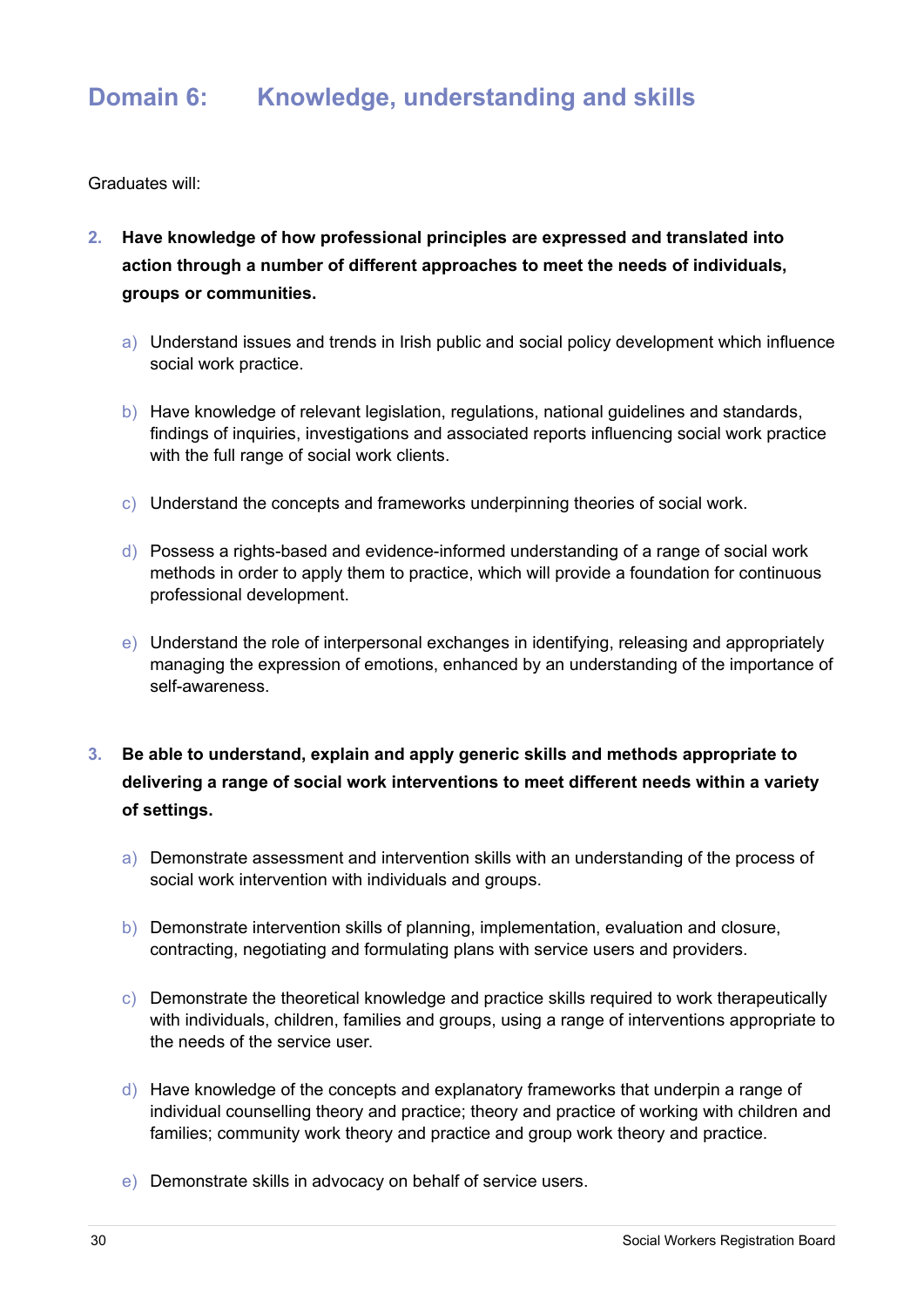# **Domain 6: Knowledge, understanding and skills**

- **2. Have knowledge of how professional principles are expressed and translated into action through a number of different approaches to meet the needs of individuals, groups or communities.**
	- a) Understand issues and trends in Irish public and social policy development which influence social work practice.
	- b) Have knowledge of relevant legislation, regulations, national guidelines and standards, findings of inquiries, investigations and associated reports influencing social work practice with the full range of social work clients.
	- c) Understand the concepts and frameworks underpinning theories of social work.
	- d) Possess a rights-based and evidence-informed understanding of a range of social work methods in order to apply them to practice, which will provide a foundation for continuous professional development.
	- e) Understand the role of interpersonal exchanges in identifying, releasing and appropriately managing the expression of emotions, enhanced by an understanding of the importance of self-awareness.
- **3. Be able to understand, explain and apply generic skills and methods appropriate to delivering a range of social work interventions to meet different needs within a variety of settings.**
	- a) Demonstrate assessment and intervention skills with an understanding of the process of social work intervention with individuals and groups.
	- b) Demonstrate intervention skills of planning, implementation, evaluation and closure, contracting, negotiating and formulating plans with service users and providers.
	- c) Demonstrate the theoretical knowledge and practice skills required to work therapeutically with individuals, children, families and groups, using a range of interventions appropriate to the needs of the service user.
	- d) Have knowledge of the concepts and explanatory frameworks that underpin a range of individual counselling theory and practice; theory and practice of working with children and families; community work theory and practice and group work theory and practice.
	- e) Demonstrate skills in advocacy on behalf of service users.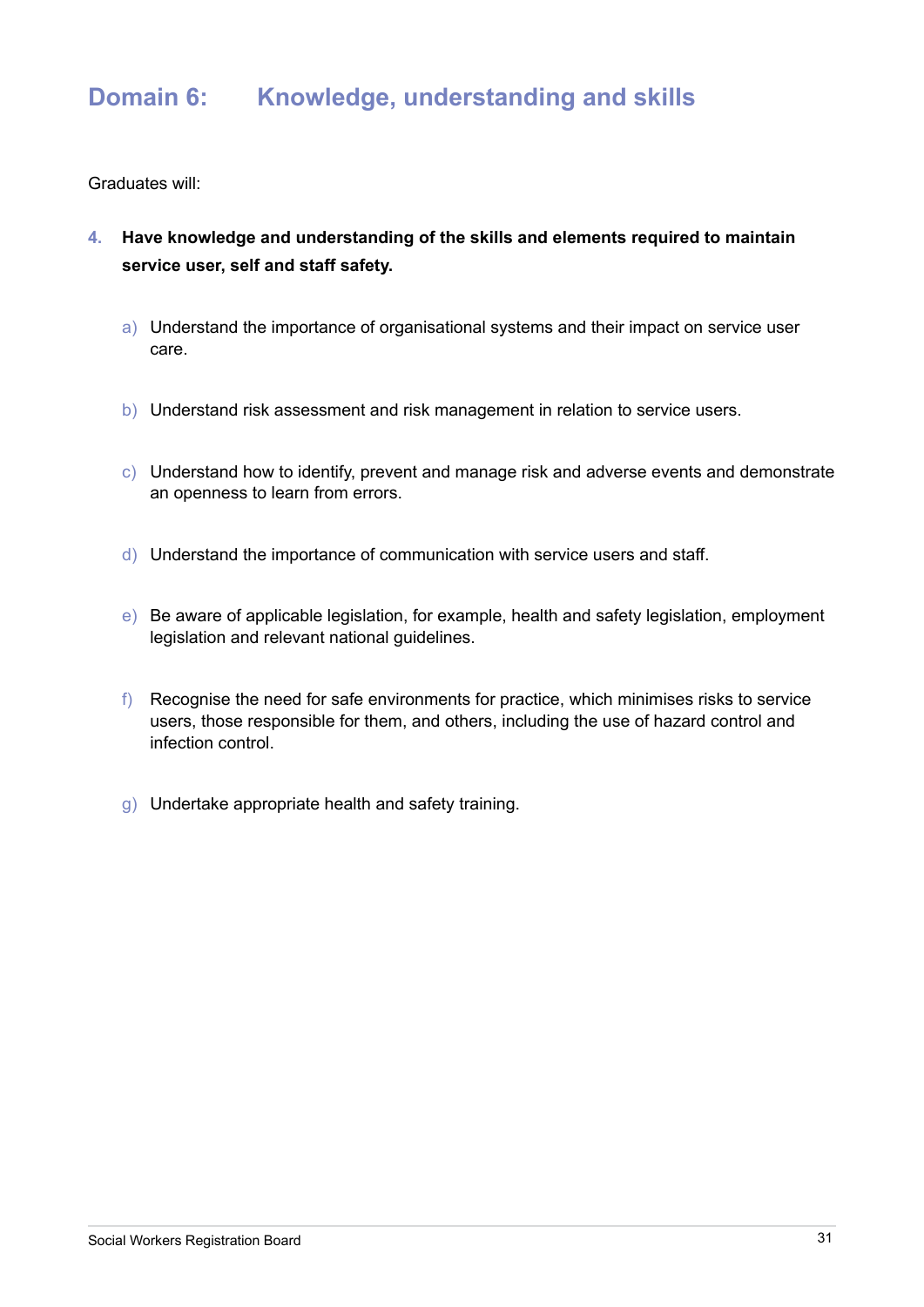# **Domain 6: Knowledge, understanding and skills**

- **4. Have knowledge and understanding of the skills and elements required to maintain service user, self and staff safety.**
	- a) Understand the importance of organisational systems and their impact on service user care.
	- b) Understand risk assessment and risk management in relation to service users.
	- c) Understand how to identify, prevent and manage risk and adverse events and demonstrate an openness to learn from errors.
	- d) Understand the importance of communication with service users and staff.
	- e) Be aware of applicable legislation, for example, health and safety legislation, employment legislation and relevant national guidelines.
	- f) Recognise the need for safe environments for practice, which minimises risks to service users, those responsible for them, and others, including the use of hazard control and infection control.
	- g) Undertake appropriate health and safety training.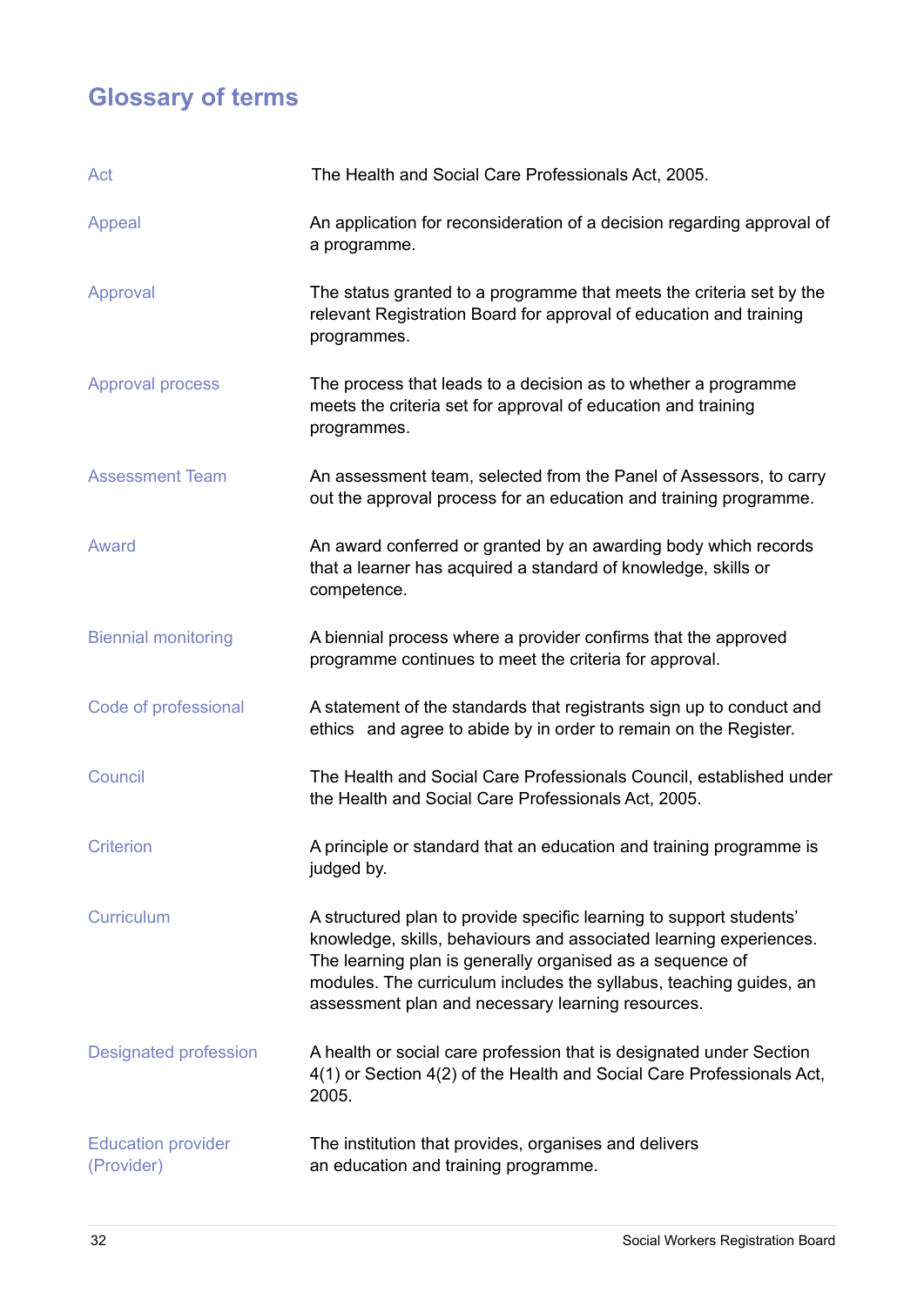# **Glossary of terms**

| Act                                     | The Health and Social Care Professionals Act, 2005.                                                                                                                                                                                                                                                                               |
|-----------------------------------------|-----------------------------------------------------------------------------------------------------------------------------------------------------------------------------------------------------------------------------------------------------------------------------------------------------------------------------------|
| Appeal                                  | An application for reconsideration of a decision regarding approval of<br>a programme.                                                                                                                                                                                                                                            |
| Approval                                | The status granted to a programme that meets the criteria set by the<br>relevant Registration Board for approval of education and training<br>programmes.                                                                                                                                                                         |
| <b>Approval process</b>                 | The process that leads to a decision as to whether a programme<br>meets the criteria set for approval of education and training<br>programmes.                                                                                                                                                                                    |
| <b>Assessment Team</b>                  | An assessment team, selected from the Panel of Assessors, to carry<br>out the approval process for an education and training programme.                                                                                                                                                                                           |
| Award                                   | An award conferred or granted by an awarding body which records<br>that a learner has acquired a standard of knowledge, skills or<br>competence.                                                                                                                                                                                  |
| <b>Biennial monitoring</b>              | A biennial process where a provider confirms that the approved<br>programme continues to meet the criteria for approval.                                                                                                                                                                                                          |
| Code of professional                    | A statement of the standards that registrants sign up to conduct and<br>ethics and agree to abide by in order to remain on the Register.                                                                                                                                                                                          |
| Council                                 | The Health and Social Care Professionals Council, established under<br>the Health and Social Care Professionals Act, 2005.                                                                                                                                                                                                        |
| <b>Criterion</b>                        | A principle or standard that an education and training programme is<br>judged by.                                                                                                                                                                                                                                                 |
| Curriculum                              | A structured plan to provide specific learning to support students'<br>knowledge, skills, behaviours and associated learning experiences.<br>The learning plan is generally organised as a sequence of<br>modules. The curriculum includes the syllabus, teaching guides, an<br>assessment plan and necessary learning resources. |
| <b>Designated profession</b>            | A health or social care profession that is designated under Section<br>4(1) or Section 4(2) of the Health and Social Care Professionals Act,<br>2005.                                                                                                                                                                             |
| <b>Education provider</b><br>(Provider) | The institution that provides, organises and delivers<br>an education and training programme.                                                                                                                                                                                                                                     |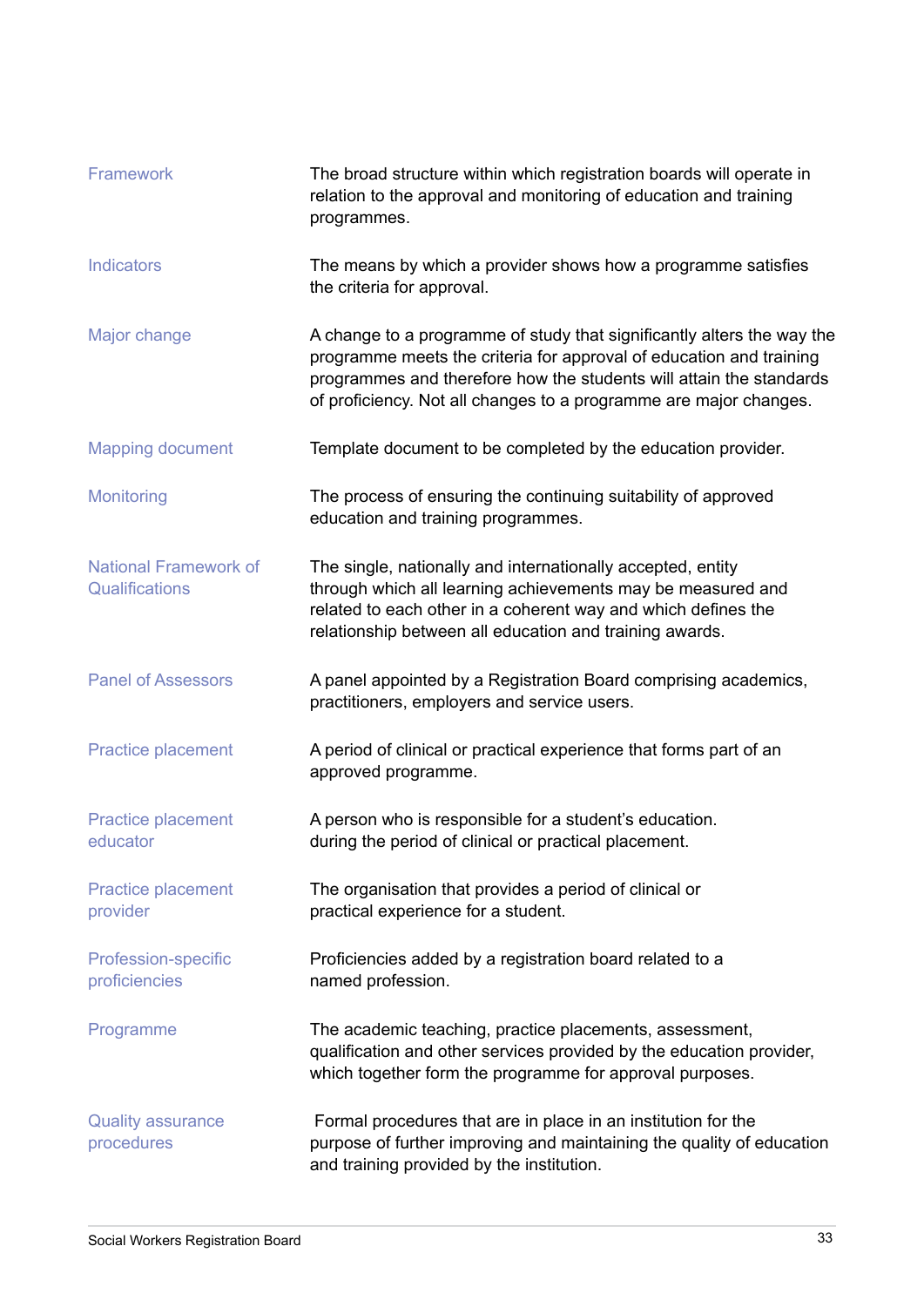| Framework                                      | The broad structure within which registration boards will operate in<br>relation to the approval and monitoring of education and training<br>programmes.                                                                                                                                  |
|------------------------------------------------|-------------------------------------------------------------------------------------------------------------------------------------------------------------------------------------------------------------------------------------------------------------------------------------------|
| <b>Indicators</b>                              | The means by which a provider shows how a programme satisfies<br>the criteria for approval.                                                                                                                                                                                               |
| Major change                                   | A change to a programme of study that significantly alters the way the<br>programme meets the criteria for approval of education and training<br>programmes and therefore how the students will attain the standards<br>of proficiency. Not all changes to a programme are major changes. |
| <b>Mapping document</b>                        | Template document to be completed by the education provider.                                                                                                                                                                                                                              |
| <b>Monitoring</b>                              | The process of ensuring the continuing suitability of approved<br>education and training programmes.                                                                                                                                                                                      |
| <b>National Framework of</b><br>Qualifications | The single, nationally and internationally accepted, entity<br>through which all learning achievements may be measured and<br>related to each other in a coherent way and which defines the<br>relationship between all education and training awards.                                    |
| <b>Panel of Assessors</b>                      | A panel appointed by a Registration Board comprising academics,<br>practitioners, employers and service users.                                                                                                                                                                            |
| <b>Practice placement</b>                      | A period of clinical or practical experience that forms part of an<br>approved programme.                                                                                                                                                                                                 |
| Practice placement<br>educator                 | A person who is responsible for a student's education.<br>during the period of clinical or practical placement.                                                                                                                                                                           |
| <b>Practice placement</b><br>provider          | The organisation that provides a period of clinical or<br>practical experience for a student.                                                                                                                                                                                             |
| <b>Profession-specific</b><br>proficiencies    | Proficiencies added by a registration board related to a<br>named profession.                                                                                                                                                                                                             |
| Programme                                      | The academic teaching, practice placements, assessment,<br>qualification and other services provided by the education provider,<br>which together form the programme for approval purposes.                                                                                               |
| <b>Quality assurance</b><br>procedures         | Formal procedures that are in place in an institution for the<br>purpose of further improving and maintaining the quality of education<br>and training provided by the institution.                                                                                                       |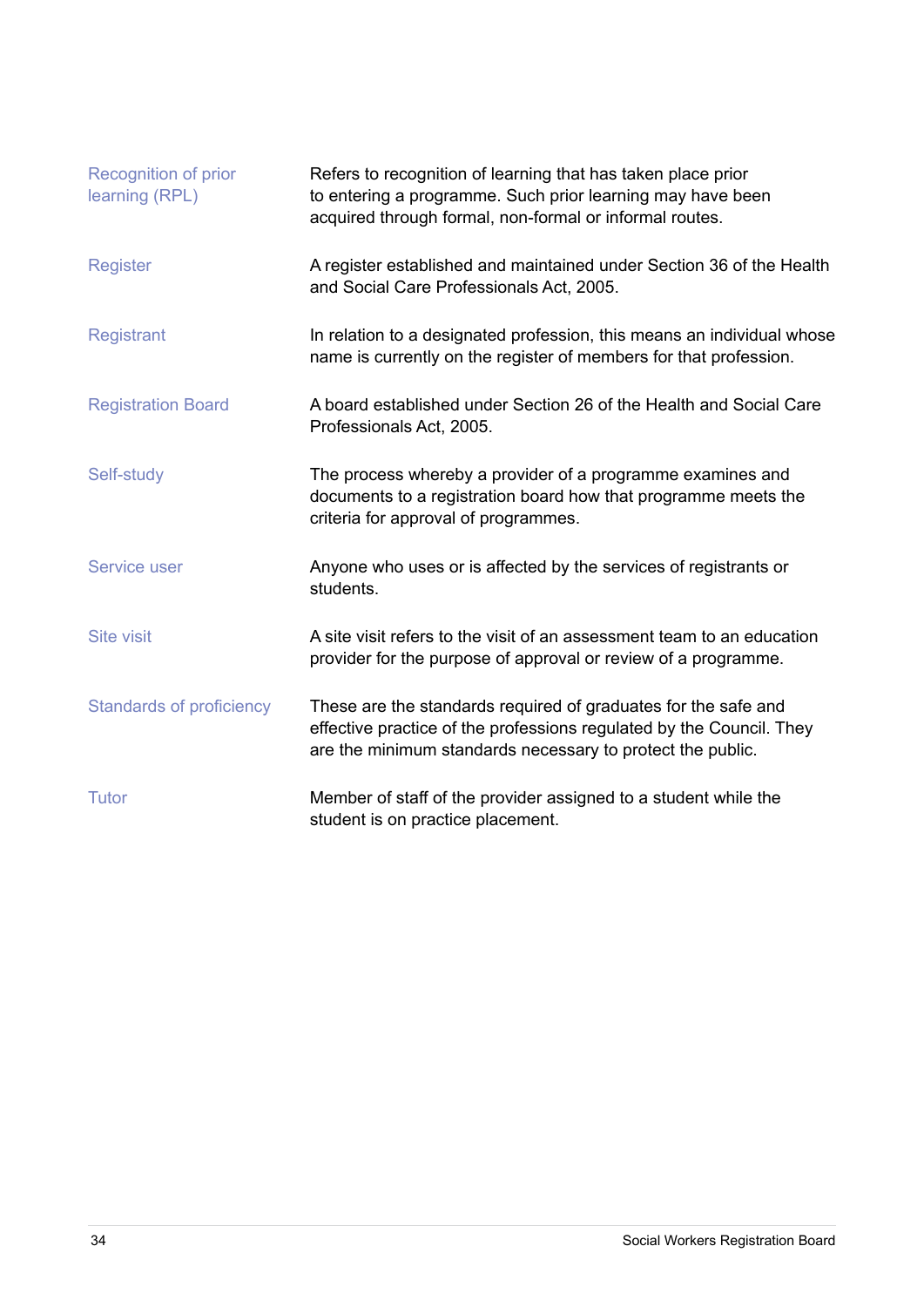| Recognition of prior<br>learning (RPL) | Refers to recognition of learning that has taken place prior<br>to entering a programme. Such prior learning may have been<br>acquired through formal, non-formal or informal routes.                |
|----------------------------------------|------------------------------------------------------------------------------------------------------------------------------------------------------------------------------------------------------|
| <b>Register</b>                        | A register established and maintained under Section 36 of the Health<br>and Social Care Professionals Act, 2005.                                                                                     |
| <b>Registrant</b>                      | In relation to a designated profession, this means an individual whose<br>name is currently on the register of members for that profession.                                                          |
| <b>Registration Board</b>              | A board established under Section 26 of the Health and Social Care<br>Professionals Act, 2005.                                                                                                       |
| Self-study                             | The process whereby a provider of a programme examines and<br>documents to a registration board how that programme meets the<br>criteria for approval of programmes.                                 |
| <b>Service user</b>                    | Anyone who uses or is affected by the services of registrants or<br>students.                                                                                                                        |
| <b>Site visit</b>                      | A site visit refers to the visit of an assessment team to an education<br>provider for the purpose of approval or review of a programme.                                                             |
| <b>Standards of proficiency</b>        | These are the standards required of graduates for the safe and<br>effective practice of the professions regulated by the Council. They<br>are the minimum standards necessary to protect the public. |
| <b>Tutor</b>                           | Member of staff of the provider assigned to a student while the<br>student is on practice placement.                                                                                                 |